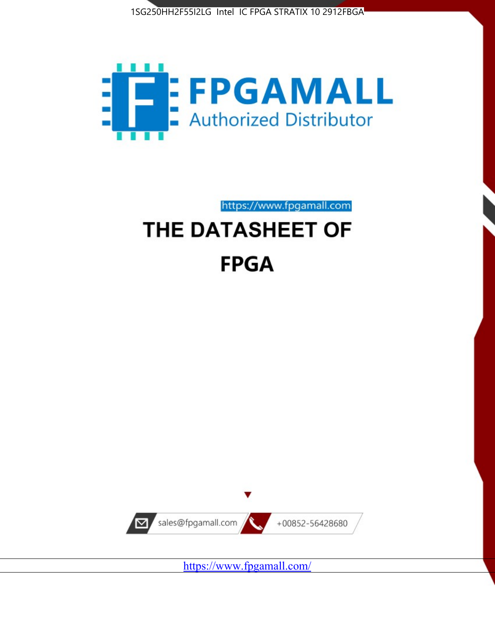



https://www.fpgamall.com

# THE DATASHEET OF **FPGA**



<https://www.fpgamall.com/>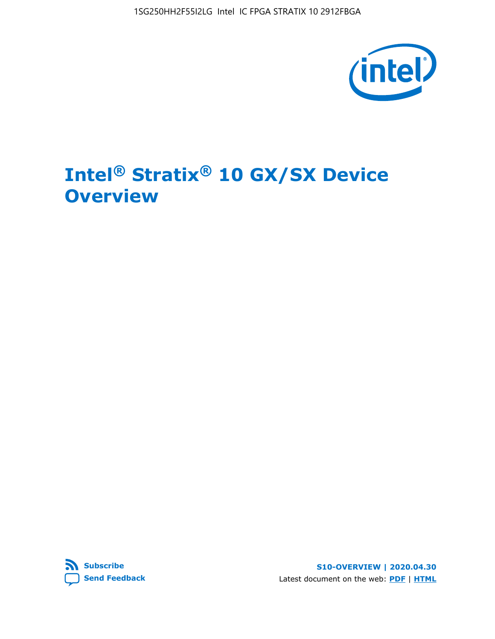1SG250HH2F55I2LG Intel IC FPGA STRATIX 10 2912FBGA



# **Intel® Stratix® 10 GX/SX Device Overview**



**S10-OVERVIEW | 2020.04.30** Latest document on the web: **[PDF](https://www.intel.com/content/dam/www/programmable/us/en/pdfs/literature/hb/stratix-10/s10-overview.pdf)** | **[HTML](https://www.intel.com/content/www/us/en/programmable/documentation/joc1442261161666.html)**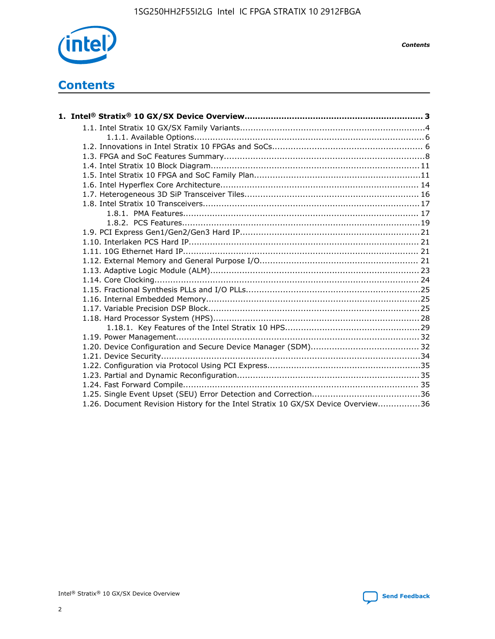

*Contents*

# **Contents**

| 1.26. Document Revision History for the Intel Stratix 10 GX/SX Device Overview36 |  |
|----------------------------------------------------------------------------------|--|

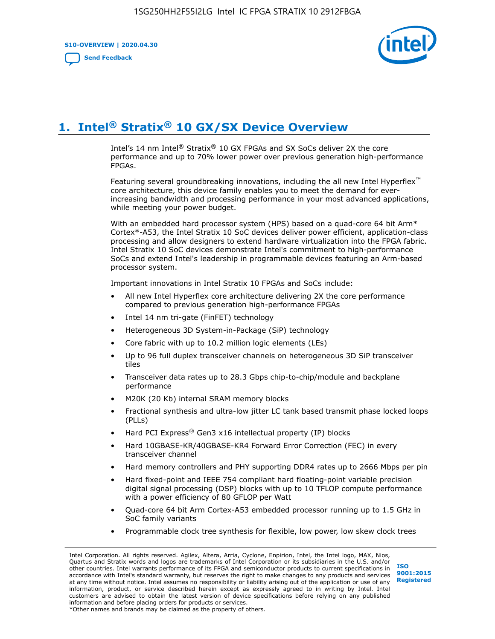**S10-OVERVIEW | 2020.04.30**

**[Send Feedback](mailto:FPGAtechdocfeedback@intel.com?subject=Feedback%20on%20Intel%20Stratix%2010%20GX/SX%20Device%20Overview%20(S10-OVERVIEW%202020.04.30)&body=We%20appreciate%20your%20feedback.%20In%20your%20comments,%20also%20specify%20the%20page%20number%20or%20paragraph.%20Thank%20you.)**



# **1. Intel® Stratix® 10 GX/SX Device Overview**

Intel's 14 nm Intel® Stratix® 10 GX FPGAs and SX SoCs deliver 2X the core performance and up to 70% lower power over previous generation high-performance FPGAs.

Featuring several groundbreaking innovations, including the all new Intel Hyperflex™ core architecture, this device family enables you to meet the demand for everincreasing bandwidth and processing performance in your most advanced applications, while meeting your power budget.

With an embedded hard processor system (HPS) based on a quad-core 64 bit Arm\* Cortex\*-A53, the Intel Stratix 10 SoC devices deliver power efficient, application-class processing and allow designers to extend hardware virtualization into the FPGA fabric. Intel Stratix 10 SoC devices demonstrate Intel's commitment to high-performance SoCs and extend Intel's leadership in programmable devices featuring an Arm-based processor system.

Important innovations in Intel Stratix 10 FPGAs and SoCs include:

- All new Intel Hyperflex core architecture delivering 2X the core performance compared to previous generation high-performance FPGAs
- Intel 14 nm tri-gate (FinFET) technology
- Heterogeneous 3D System-in-Package (SiP) technology
- Core fabric with up to 10.2 million logic elements (LEs)
- Up to 96 full duplex transceiver channels on heterogeneous 3D SiP transceiver tiles
- Transceiver data rates up to 28.3 Gbps chip-to-chip/module and backplane performance
- M20K (20 Kb) internal SRAM memory blocks
- Fractional synthesis and ultra-low jitter LC tank based transmit phase locked loops (PLLs)
- Hard PCI Express<sup>®</sup> Gen3 x16 intellectual property (IP) blocks
- Hard 10GBASE-KR/40GBASE-KR4 Forward Error Correction (FEC) in every transceiver channel
- Hard memory controllers and PHY supporting DDR4 rates up to 2666 Mbps per pin
- Hard fixed-point and IEEE 754 compliant hard floating-point variable precision digital signal processing (DSP) blocks with up to 10 TFLOP compute performance with a power efficiency of 80 GFLOP per Watt
- Quad-core 64 bit Arm Cortex-A53 embedded processor running up to 1.5 GHz in SoC family variants
- Programmable clock tree synthesis for flexible, low power, low skew clock trees

Intel Corporation. All rights reserved. Agilex, Altera, Arria, Cyclone, Enpirion, Intel, the Intel logo, MAX, Nios, Quartus and Stratix words and logos are trademarks of Intel Corporation or its subsidiaries in the U.S. and/or other countries. Intel warrants performance of its FPGA and semiconductor products to current specifications in accordance with Intel's standard warranty, but reserves the right to make changes to any products and services at any time without notice. Intel assumes no responsibility or liability arising out of the application or use of any information, product, or service described herein except as expressly agreed to in writing by Intel. Intel customers are advised to obtain the latest version of device specifications before relying on any published information and before placing orders for products or services. \*Other names and brands may be claimed as the property of others.

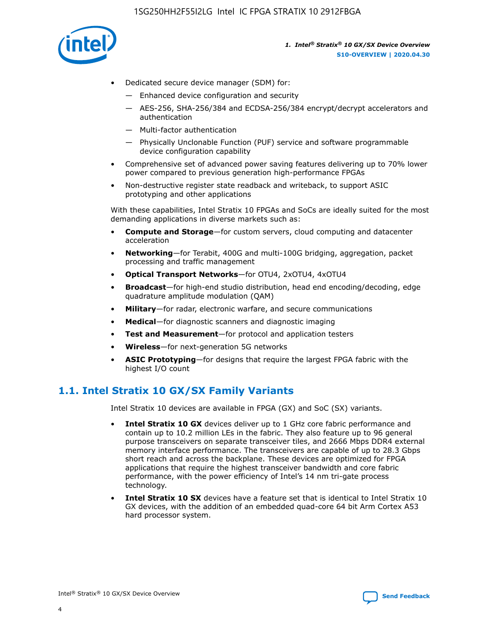

- Dedicated secure device manager (SDM) for:
	- Enhanced device configuration and security
	- AES-256, SHA-256/384 and ECDSA-256/384 encrypt/decrypt accelerators and authentication
	- Multi-factor authentication
	- Physically Unclonable Function (PUF) service and software programmable device configuration capability
- Comprehensive set of advanced power saving features delivering up to 70% lower power compared to previous generation high-performance FPGAs
- Non-destructive register state readback and writeback, to support ASIC prototyping and other applications

With these capabilities, Intel Stratix 10 FPGAs and SoCs are ideally suited for the most demanding applications in diverse markets such as:

- **Compute and Storage**—for custom servers, cloud computing and datacenter acceleration
- **Networking**—for Terabit, 400G and multi-100G bridging, aggregation, packet processing and traffic management
- **Optical Transport Networks**—for OTU4, 2xOTU4, 4xOTU4
- **Broadcast**—for high-end studio distribution, head end encoding/decoding, edge quadrature amplitude modulation (QAM)
- **Military**—for radar, electronic warfare, and secure communications
- **Medical**—for diagnostic scanners and diagnostic imaging
- **Test and Measurement**—for protocol and application testers
- **Wireless**—for next-generation 5G networks
- **ASIC Prototyping**—for designs that require the largest FPGA fabric with the highest I/O count

## **1.1. Intel Stratix 10 GX/SX Family Variants**

Intel Stratix 10 devices are available in FPGA (GX) and SoC (SX) variants.

- **Intel Stratix 10 GX** devices deliver up to 1 GHz core fabric performance and contain up to 10.2 million LEs in the fabric. They also feature up to 96 general purpose transceivers on separate transceiver tiles, and 2666 Mbps DDR4 external memory interface performance. The transceivers are capable of up to 28.3 Gbps short reach and across the backplane. These devices are optimized for FPGA applications that require the highest transceiver bandwidth and core fabric performance, with the power efficiency of Intel's 14 nm tri-gate process technology.
- **Intel Stratix 10 SX** devices have a feature set that is identical to Intel Stratix 10 GX devices, with the addition of an embedded quad-core 64 bit Arm Cortex A53 hard processor system.

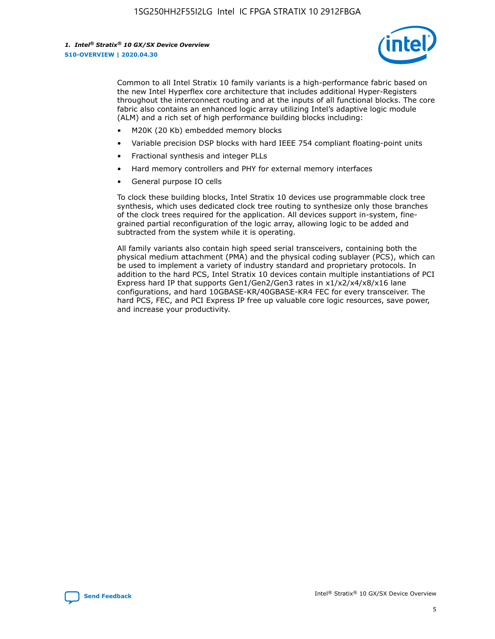

Common to all Intel Stratix 10 family variants is a high-performance fabric based on the new Intel Hyperflex core architecture that includes additional Hyper-Registers throughout the interconnect routing and at the inputs of all functional blocks. The core fabric also contains an enhanced logic array utilizing Intel's adaptive logic module (ALM) and a rich set of high performance building blocks including:

- M20K (20 Kb) embedded memory blocks
- Variable precision DSP blocks with hard IEEE 754 compliant floating-point units
- Fractional synthesis and integer PLLs
- Hard memory controllers and PHY for external memory interfaces
- General purpose IO cells

To clock these building blocks, Intel Stratix 10 devices use programmable clock tree synthesis, which uses dedicated clock tree routing to synthesize only those branches of the clock trees required for the application. All devices support in-system, finegrained partial reconfiguration of the logic array, allowing logic to be added and subtracted from the system while it is operating.

All family variants also contain high speed serial transceivers, containing both the physical medium attachment (PMA) and the physical coding sublayer (PCS), which can be used to implement a variety of industry standard and proprietary protocols. In addition to the hard PCS, Intel Stratix 10 devices contain multiple instantiations of PCI Express hard IP that supports Gen1/Gen2/Gen3 rates in x1/x2/x4/x8/x16 lane configurations, and hard 10GBASE-KR/40GBASE-KR4 FEC for every transceiver. The hard PCS, FEC, and PCI Express IP free up valuable core logic resources, save power, and increase your productivity.

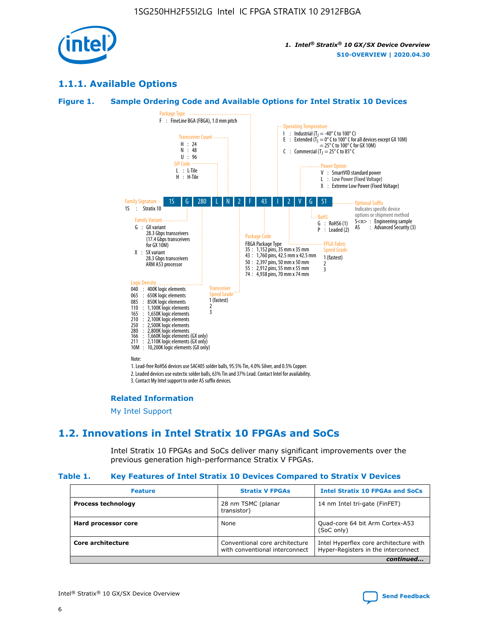

## **1.1.1. Available Options**

#### **Figure 1. Sample Ordering Code and Available Options for Intel Stratix 10 Devices**



## **Related Information**

[My Intel Support](https://www.intel.com/content/www/us/en/programmable/my-intel/mal-home.html)

## **1.2. Innovations in Intel Stratix 10 FPGAs and SoCs**

Intel Stratix 10 FPGAs and SoCs deliver many significant improvements over the previous generation high-performance Stratix V FPGAs.

#### **Table 1. Key Features of Intel Stratix 10 Devices Compared to Stratix V Devices**

| <b>Feature</b>            | <b>Stratix V FPGAs</b>                                           | <b>Intel Stratix 10 FPGAs and SoCs</b>                                        |
|---------------------------|------------------------------------------------------------------|-------------------------------------------------------------------------------|
| <b>Process technology</b> | 28 nm TSMC (planar<br>transistor)                                | 14 nm Intel tri-gate (FinFET)                                                 |
| Hard processor core       | None                                                             | Quad-core 64 bit Arm Cortex-A53<br>(SoC only)                                 |
| Core architecture         | Conventional core architecture<br>with conventional interconnect | Intel Hyperflex core architecture with<br>Hyper-Registers in the interconnect |
|                           |                                                                  | continued                                                                     |

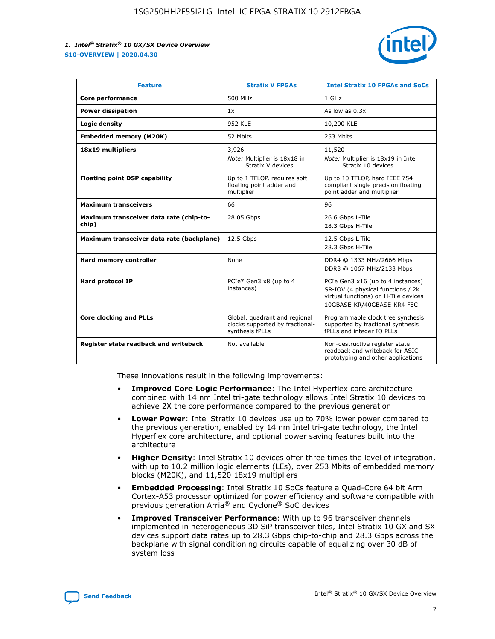

| <b>Feature</b>                                   | <b>Stratix V FPGAs</b>                                                              | <b>Intel Stratix 10 FPGAs and SoCs</b>                                                                                                       |
|--------------------------------------------------|-------------------------------------------------------------------------------------|----------------------------------------------------------------------------------------------------------------------------------------------|
| Core performance                                 | 500 MHz                                                                             | 1 GHz                                                                                                                                        |
| <b>Power dissipation</b>                         | 1x                                                                                  | As low as $0.3x$                                                                                                                             |
| Logic density                                    | 952 KLE                                                                             | 10,200 KLE                                                                                                                                   |
| <b>Embedded memory (M20K)</b>                    | 52 Mbits                                                                            | 253 Mbits                                                                                                                                    |
| 18x19 multipliers                                | 3,926                                                                               | 11,520                                                                                                                                       |
|                                                  | Note: Multiplier is 18x18 in<br>Stratix V devices.                                  | Note: Multiplier is 18x19 in Intel<br>Stratix 10 devices.                                                                                    |
| <b>Floating point DSP capability</b>             | Up to 1 TFLOP, requires soft<br>floating point adder and<br>multiplier              | Up to 10 TFLOP, hard IEEE 754<br>compliant single precision floating<br>point adder and multiplier                                           |
| <b>Maximum transceivers</b>                      | 66                                                                                  | 96                                                                                                                                           |
| Maximum transceiver data rate (chip-to-<br>chip) | 28.05 Gbps                                                                          | 26.6 Gbps L-Tile<br>28.3 Gbps H-Tile                                                                                                         |
| Maximum transceiver data rate (backplane)        | 12.5 Gbps                                                                           | 12.5 Gbps L-Tile<br>28.3 Gbps H-Tile                                                                                                         |
| Hard memory controller                           | None                                                                                | DDR4 @ 1333 MHz/2666 Mbps<br>DDR3 @ 1067 MHz/2133 Mbps                                                                                       |
| <b>Hard protocol IP</b>                          | PCIe* Gen3 x8 (up to 4<br>instances)                                                | PCIe Gen3 x16 (up to 4 instances)<br>SR-IOV (4 physical functions / 2k<br>virtual functions) on H-Tile devices<br>10GBASE-KR/40GBASE-KR4 FEC |
| <b>Core clocking and PLLs</b>                    | Global, quadrant and regional<br>clocks supported by fractional-<br>synthesis fPLLs | Programmable clock tree synthesis<br>supported by fractional synthesis<br>fPLLs and integer IO PLLs                                          |
| Register state readback and writeback            | Not available                                                                       | Non-destructive register state<br>readback and writeback for ASIC<br>prototyping and other applications                                      |

These innovations result in the following improvements:

- **Improved Core Logic Performance**: The Intel Hyperflex core architecture combined with 14 nm Intel tri-gate technology allows Intel Stratix 10 devices to achieve 2X the core performance compared to the previous generation
- **Lower Power**: Intel Stratix 10 devices use up to 70% lower power compared to the previous generation, enabled by 14 nm Intel tri-gate technology, the Intel Hyperflex core architecture, and optional power saving features built into the architecture
- **Higher Density**: Intel Stratix 10 devices offer three times the level of integration, with up to 10.2 million logic elements (LEs), over 253 Mbits of embedded memory blocks (M20K), and 11,520 18x19 multipliers
- **Embedded Processing**: Intel Stratix 10 SoCs feature a Quad-Core 64 bit Arm Cortex-A53 processor optimized for power efficiency and software compatible with previous generation Arria® and Cyclone® SoC devices
- **Improved Transceiver Performance**: With up to 96 transceiver channels implemented in heterogeneous 3D SiP transceiver tiles, Intel Stratix 10 GX and SX devices support data rates up to 28.3 Gbps chip-to-chip and 28.3 Gbps across the backplane with signal conditioning circuits capable of equalizing over 30 dB of system loss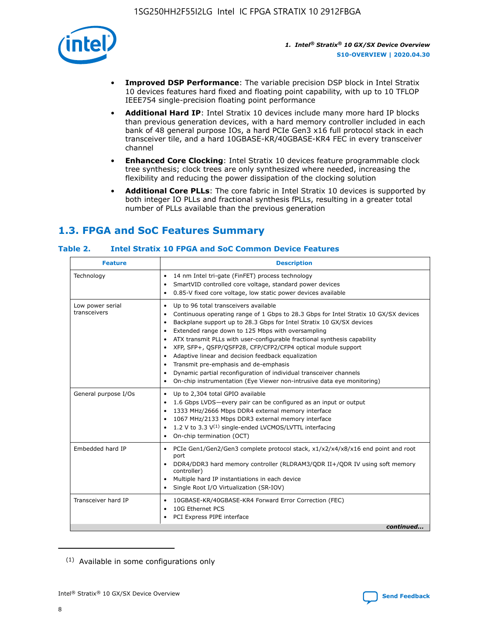

- **Improved DSP Performance**: The variable precision DSP block in Intel Stratix 10 devices features hard fixed and floating point capability, with up to 10 TFLOP IEEE754 single-precision floating point performance
- **Additional Hard IP**: Intel Stratix 10 devices include many more hard IP blocks than previous generation devices, with a hard memory controller included in each bank of 48 general purpose IOs, a hard PCIe Gen3 x16 full protocol stack in each transceiver tile, and a hard 10GBASE-KR/40GBASE-KR4 FEC in every transceiver channel
- **Enhanced Core Clocking**: Intel Stratix 10 devices feature programmable clock tree synthesis; clock trees are only synthesized where needed, increasing the flexibility and reducing the power dissipation of the clocking solution
- **Additional Core PLLs**: The core fabric in Intel Stratix 10 devices is supported by both integer IO PLLs and fractional synthesis fPLLs, resulting in a greater total number of PLLs available than the previous generation

## **1.3. FPGA and SoC Features Summary**

## **Table 2. Intel Stratix 10 FPGA and SoC Common Device Features**

| Technology<br>14 nm Intel tri-gate (FinFET) process technology<br>٠<br>SmartVID controlled core voltage, standard power devices<br>0.85-V fixed core voltage, low static power devices available<br>Up to 96 total transceivers available<br>Low power serial<br>٠<br>transceivers<br>Continuous operating range of 1 Gbps to 28.3 Gbps for Intel Stratix 10 GX/SX devices<br>Backplane support up to 28.3 Gbps for Intel Stratix 10 GX/SX devices<br>$\bullet$<br>Extended range down to 125 Mbps with oversampling<br>$\bullet$<br>• ATX transmit PLLs with user-configurable fractional synthesis capability<br>XFP, SFP+, QSFP/QSFP28, CFP/CFP2/CFP4 optical module support<br>• Adaptive linear and decision feedback equalization<br>Transmit pre-emphasis and de-emphasis<br>Dynamic partial reconfiguration of individual transceiver channels<br>$\bullet$<br>On-chip instrumentation (Eye Viewer non-intrusive data eye monitoring)<br>General purpose I/Os<br>Up to 2,304 total GPIO available<br>$\bullet$<br>1.6 Gbps LVDS-every pair can be configured as an input or output<br>1333 MHz/2666 Mbps DDR4 external memory interface<br>1067 MHz/2133 Mbps DDR3 external memory interface<br>• 1.2 V to 3.3 $V^{(1)}$ single-ended LVCMOS/LVTTL interfacing<br>• On-chip termination (OCT)<br>Embedded hard IP<br>PCIe Gen1/Gen2/Gen3 complete protocol stack, x1/x2/x4/x8/x16 end point and root<br>$\bullet$<br>port<br>DDR4/DDR3 hard memory controller (RLDRAM3/QDR II+/QDR IV using soft memory<br>controller)<br>Multiple hard IP instantiations in each device<br>• Single Root I/O Virtualization (SR-IOV)<br>Transceiver hard IP<br>10GBASE-KR/40GBASE-KR4 Forward Error Correction (FEC)<br>$\bullet$<br>10G Ethernet PCS<br>$\bullet$ | <b>Feature</b> | <b>Description</b> |
|-------------------------------------------------------------------------------------------------------------------------------------------------------------------------------------------------------------------------------------------------------------------------------------------------------------------------------------------------------------------------------------------------------------------------------------------------------------------------------------------------------------------------------------------------------------------------------------------------------------------------------------------------------------------------------------------------------------------------------------------------------------------------------------------------------------------------------------------------------------------------------------------------------------------------------------------------------------------------------------------------------------------------------------------------------------------------------------------------------------------------------------------------------------------------------------------------------------------------------------------------------------------------------------------------------------------------------------------------------------------------------------------------------------------------------------------------------------------------------------------------------------------------------------------------------------------------------------------------------------------------------------------------------------------------------------------------------------------------------------------------------------|----------------|--------------------|
|                                                                                                                                                                                                                                                                                                                                                                                                                                                                                                                                                                                                                                                                                                                                                                                                                                                                                                                                                                                                                                                                                                                                                                                                                                                                                                                                                                                                                                                                                                                                                                                                                                                                                                                                                             |                |                    |
|                                                                                                                                                                                                                                                                                                                                                                                                                                                                                                                                                                                                                                                                                                                                                                                                                                                                                                                                                                                                                                                                                                                                                                                                                                                                                                                                                                                                                                                                                                                                                                                                                                                                                                                                                             |                |                    |
|                                                                                                                                                                                                                                                                                                                                                                                                                                                                                                                                                                                                                                                                                                                                                                                                                                                                                                                                                                                                                                                                                                                                                                                                                                                                                                                                                                                                                                                                                                                                                                                                                                                                                                                                                             |                |                    |
|                                                                                                                                                                                                                                                                                                                                                                                                                                                                                                                                                                                                                                                                                                                                                                                                                                                                                                                                                                                                                                                                                                                                                                                                                                                                                                                                                                                                                                                                                                                                                                                                                                                                                                                                                             |                |                    |
| PCI Express PIPE interface<br>continued                                                                                                                                                                                                                                                                                                                                                                                                                                                                                                                                                                                                                                                                                                                                                                                                                                                                                                                                                                                                                                                                                                                                                                                                                                                                                                                                                                                                                                                                                                                                                                                                                                                                                                                     |                |                    |

<sup>(1)</sup> Available in some configurations only

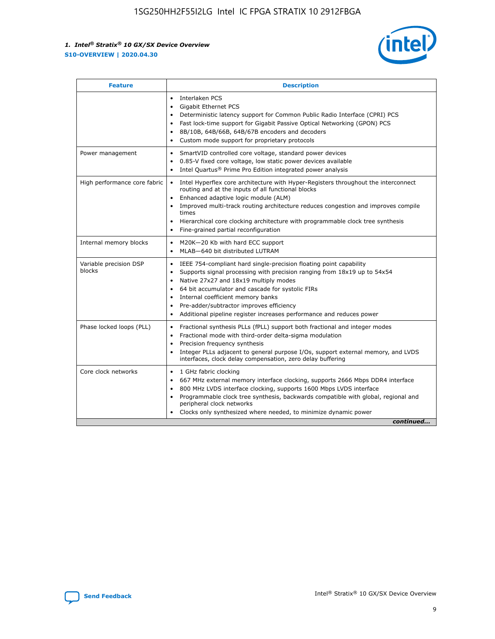

| <b>Feature</b>                   | <b>Description</b>                                                                                                                                                                                                                                                                                                                                                                                                                                                    |
|----------------------------------|-----------------------------------------------------------------------------------------------------------------------------------------------------------------------------------------------------------------------------------------------------------------------------------------------------------------------------------------------------------------------------------------------------------------------------------------------------------------------|
|                                  | Interlaken PCS<br>$\bullet$<br>Gigabit Ethernet PCS<br>$\bullet$<br>Deterministic latency support for Common Public Radio Interface (CPRI) PCS<br>$\bullet$<br>Fast lock-time support for Gigabit Passive Optical Networking (GPON) PCS<br>$\bullet$<br>8B/10B, 64B/66B, 64B/67B encoders and decoders<br>Custom mode support for proprietary protocols                                                                                                               |
| Power management                 | SmartVID controlled core voltage, standard power devices<br>$\bullet$<br>0.85-V fixed core voltage, low static power devices available<br>$\bullet$<br>Intel Quartus <sup>®</sup> Prime Pro Edition integrated power analysis<br>$\bullet$                                                                                                                                                                                                                            |
| High performance core fabric     | Intel Hyperflex core architecture with Hyper-Registers throughout the interconnect<br>routing and at the inputs of all functional blocks<br>Enhanced adaptive logic module (ALM)<br>$\bullet$<br>Improved multi-track routing architecture reduces congestion and improves compile<br>times<br>Hierarchical core clocking architecture with programmable clock tree synthesis<br>$\bullet$<br>Fine-grained partial reconfiguration                                    |
| Internal memory blocks           | M20K-20 Kb with hard ECC support<br>$\bullet$<br>MLAB-640 bit distributed LUTRAM<br>$\bullet$                                                                                                                                                                                                                                                                                                                                                                         |
| Variable precision DSP<br>blocks | IEEE 754-compliant hard single-precision floating point capability<br>$\bullet$<br>Supports signal processing with precision ranging from 18x19 up to 54x54<br>$\bullet$<br>Native 27x27 and 18x19 multiply modes<br>$\bullet$<br>64 bit accumulator and cascade for systolic FIRs<br>Internal coefficient memory banks<br>Pre-adder/subtractor improves efficiency<br>$\bullet$<br>Additional pipeline register increases performance and reduces power<br>$\bullet$ |
| Phase locked loops (PLL)         | Fractional synthesis PLLs (fPLL) support both fractional and integer modes<br>$\bullet$<br>Fractional mode with third-order delta-sigma modulation<br>Precision frequency synthesis<br>$\bullet$<br>Integer PLLs adjacent to general purpose I/Os, support external memory, and LVDS<br>$\bullet$<br>interfaces, clock delay compensation, zero delay buffering                                                                                                       |
| Core clock networks              | 1 GHz fabric clocking<br>$\bullet$<br>667 MHz external memory interface clocking, supports 2666 Mbps DDR4 interface<br>٠<br>800 MHz LVDS interface clocking, supports 1600 Mbps LVDS interface<br>$\bullet$<br>Programmable clock tree synthesis, backwards compatible with global, regional and<br>$\bullet$<br>peripheral clock networks<br>Clocks only synthesized where needed, to minimize dynamic power<br>continued                                            |

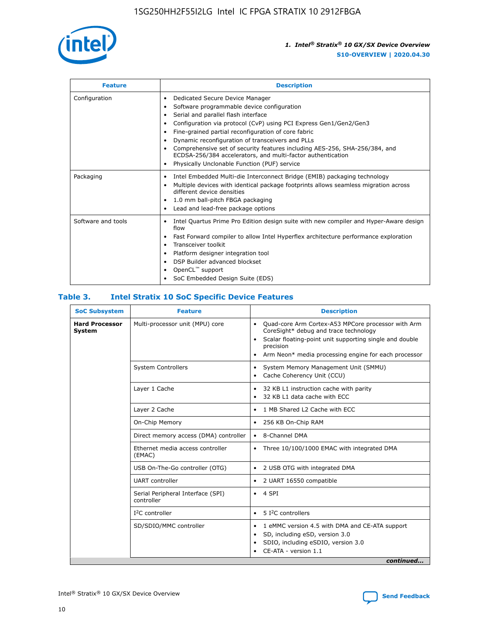

| <b>Feature</b>     | <b>Description</b>                                                                                                                                                                                                                                                                                                                                                                                                                                                                                                                                                   |  |  |  |
|--------------------|----------------------------------------------------------------------------------------------------------------------------------------------------------------------------------------------------------------------------------------------------------------------------------------------------------------------------------------------------------------------------------------------------------------------------------------------------------------------------------------------------------------------------------------------------------------------|--|--|--|
| Configuration      | Dedicated Secure Device Manager<br>$\bullet$<br>Software programmable device configuration<br>٠<br>Serial and parallel flash interface<br>٠<br>Configuration via protocol (CvP) using PCI Express Gen1/Gen2/Gen3<br>٠<br>Fine-grained partial reconfiguration of core fabric<br>$\bullet$<br>Dynamic reconfiguration of transceivers and PLLs<br>$\bullet$<br>Comprehensive set of security features including AES-256, SHA-256/384, and<br>ECDSA-256/384 accelerators, and multi-factor authentication<br>Physically Unclonable Function (PUF) service<br>$\bullet$ |  |  |  |
| Packaging          | Intel Embedded Multi-die Interconnect Bridge (EMIB) packaging technology<br>٠<br>Multiple devices with identical package footprints allows seamless migration across<br>$\bullet$<br>different device densities<br>1.0 mm ball-pitch FBGA packaging<br>$\bullet$<br>Lead and lead-free package options                                                                                                                                                                                                                                                               |  |  |  |
| Software and tools | Intel Quartus Prime Pro Edition design suite with new compiler and Hyper-Aware design<br>flow<br>Fast Forward compiler to allow Intel Hyperflex architecture performance exploration<br>$\bullet$<br>Transceiver toolkit<br>$\bullet$<br>Platform designer integration tool<br>DSP Builder advanced blockset<br>OpenCL <sup>™</sup> support<br>SoC Embedded Design Suite (EDS)                                                                                                                                                                                       |  |  |  |

## **Table 3. Intel Stratix 10 SoC Specific Device Features**

| <b>Hard Processor</b><br>System | Multi-processor unit (MPU) core<br><b>System Controllers</b> | Quad-core Arm Cortex-A53 MPCore processor with Arm<br>$\bullet$<br>CoreSight* debug and trace technology<br>Scalar floating-point unit supporting single and double<br>$\bullet$<br>precision<br>Arm Neon* media processing engine for each processor<br>$\bullet$<br>System Memory Management Unit (SMMU)<br>٠<br>Cache Coherency Unit (CCU)<br>$\bullet$ |  |  |
|---------------------------------|--------------------------------------------------------------|------------------------------------------------------------------------------------------------------------------------------------------------------------------------------------------------------------------------------------------------------------------------------------------------------------------------------------------------------------|--|--|
|                                 |                                                              |                                                                                                                                                                                                                                                                                                                                                            |  |  |
|                                 |                                                              |                                                                                                                                                                                                                                                                                                                                                            |  |  |
|                                 | Layer 1 Cache                                                | 32 KB L1 instruction cache with parity<br>$\bullet$<br>32 KB L1 data cache with ECC<br>$\bullet$                                                                                                                                                                                                                                                           |  |  |
|                                 | Layer 2 Cache                                                | 1 MB Shared L2 Cache with ECC<br>$\bullet$                                                                                                                                                                                                                                                                                                                 |  |  |
|                                 | On-Chip Memory                                               | 256 KB On-Chip RAM<br>٠                                                                                                                                                                                                                                                                                                                                    |  |  |
|                                 | Direct memory access (DMA) controller                        | 8-Channel DMA<br>$\bullet$                                                                                                                                                                                                                                                                                                                                 |  |  |
| (EMAC)                          | Ethernet media access controller                             | Three 10/100/1000 EMAC with integrated DMA<br>$\bullet$                                                                                                                                                                                                                                                                                                    |  |  |
|                                 | USB On-The-Go controller (OTG)                               | 2 USB OTG with integrated DMA<br>$\bullet$                                                                                                                                                                                                                                                                                                                 |  |  |
|                                 | <b>UART</b> controller                                       | 2 UART 16550 compatible<br>$\bullet$                                                                                                                                                                                                                                                                                                                       |  |  |
|                                 | Serial Peripheral Interface (SPI)<br>controller              | $\bullet$ 4 SPI                                                                                                                                                                                                                                                                                                                                            |  |  |
|                                 | $I2C$ controller                                             | 5 I <sup>2</sup> C controllers<br>$\bullet$                                                                                                                                                                                                                                                                                                                |  |  |
|                                 | SD/SDIO/MMC controller                                       | 1 eMMC version 4.5 with DMA and CE-ATA support<br>$\bullet$<br>SD, including eSD, version 3.0<br>$\bullet$<br>SDIO, including eSDIO, version 3.0<br>$\bullet$<br>CE-ATA - version 1.1<br>continued                                                                                                                                                         |  |  |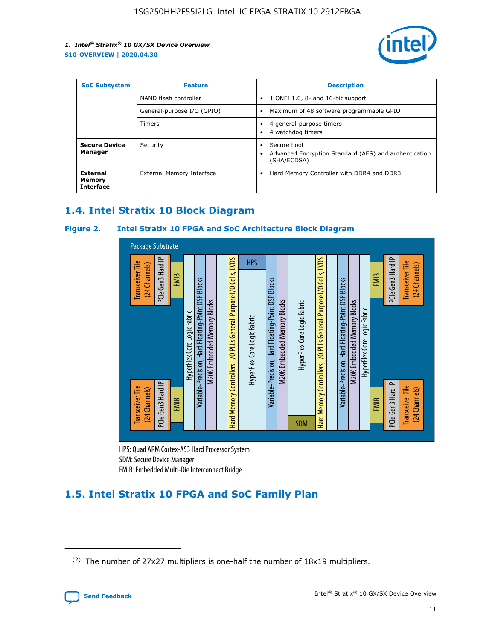

| <b>SoC Subsystem</b>                          | <b>Feature</b>             | <b>Description</b>                                                                                    |  |  |
|-----------------------------------------------|----------------------------|-------------------------------------------------------------------------------------------------------|--|--|
|                                               | NAND flash controller      | 1 ONFI 1.0, 8- and 16-bit support<br>$\bullet$                                                        |  |  |
|                                               | General-purpose I/O (GPIO) | Maximum of 48 software programmable GPIO<br>$\bullet$                                                 |  |  |
|                                               | <b>Timers</b>              | 4 general-purpose timers<br>٠<br>4 watchdog timers<br>٠                                               |  |  |
| <b>Secure Device</b><br>Manager               | Security                   | Secure boot<br>$\bullet$<br>Advanced Encryption Standard (AES) and authentication<br>٠<br>(SHA/ECDSA) |  |  |
| <b>External</b><br>Memory<br><b>Interface</b> | External Memory Interface  | Hard Memory Controller with DDR4 and DDR3<br>$\bullet$                                                |  |  |

## **1.4. Intel Stratix 10 Block Diagram**

## **Figure 2. Intel Stratix 10 FPGA and SoC Architecture Block Diagram**



HPS: Quad ARM Cortex-A53 Hard Processor System SDM: Secure Device Manager

## **1.5. Intel Stratix 10 FPGA and SoC Family Plan**

<sup>(2)</sup> The number of 27x27 multipliers is one-half the number of 18x19 multipliers.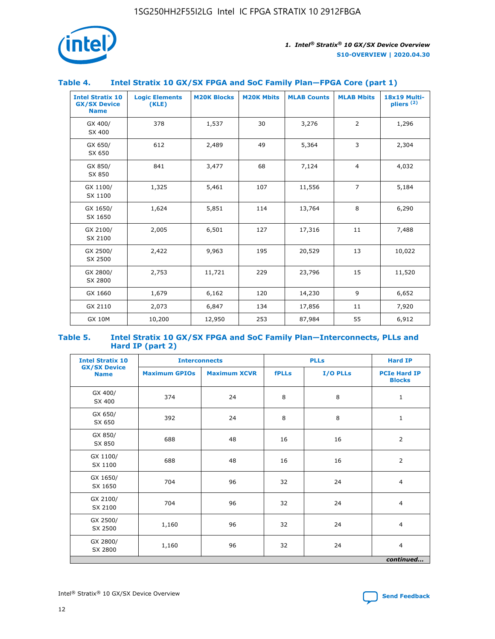

## **Table 4. Intel Stratix 10 GX/SX FPGA and SoC Family Plan—FPGA Core (part 1)**

| <b>Intel Stratix 10</b><br><b>GX/SX Device</b><br><b>Name</b> | <b>Logic Elements</b><br>(KLE) | <b>M20K Blocks</b> | <b>M20K Mbits</b> | <b>MLAB Counts</b> | <b>MLAB Mbits</b> | 18x19 Multi-<br>pliers <sup>(2)</sup> |
|---------------------------------------------------------------|--------------------------------|--------------------|-------------------|--------------------|-------------------|---------------------------------------|
| GX 400/<br>SX 400                                             | 378                            | 1,537              | 30                | 3,276              | 2                 | 1,296                                 |
| GX 650/<br>SX 650                                             | 612                            | 2,489              | 49                | 5,364              | 3                 | 2,304                                 |
| GX 850/<br>SX 850                                             | 841                            | 3,477              | 68                | 7,124              | $\overline{4}$    | 4,032                                 |
| GX 1100/<br>SX 1100                                           | 1,325                          | 5,461              | 107               | 11,556             | $\overline{7}$    | 5,184                                 |
| GX 1650/<br>SX 1650                                           | 1,624                          | 5,851              | 114               | 13,764             | 8                 | 6,290                                 |
| GX 2100/<br>SX 2100                                           | 2,005                          | 6,501              | 127               | 17,316             | 11                | 7,488                                 |
| GX 2500/<br>SX 2500                                           | 2,422                          | 9,963              | 195               | 20,529             | 13                | 10,022                                |
| GX 2800/<br>SX 2800                                           | 2,753                          | 11,721             | 229               | 23,796             | 15                | 11,520                                |
| GX 1660                                                       | 1,679                          | 6,162              | 120               | 14,230             | 9                 | 6,652                                 |
| GX 2110                                                       | 2,073                          | 6,847              | 134               | 17,856             | 11                | 7,920                                 |
| <b>GX 10M</b>                                                 | 10,200                         | 12,950             | 253               | 87,984             | 55                | 6,912                                 |

#### **Table 5. Intel Stratix 10 GX/SX FPGA and SoC Family Plan—Interconnects, PLLs and Hard IP (part 2)**

| <b>Intel Stratix 10</b>            | <b>Interconnects</b> |                     | <b>PLLs</b>  |          | <b>Hard IP</b>                       |
|------------------------------------|----------------------|---------------------|--------------|----------|--------------------------------------|
| <b>GX/SX Device</b><br><b>Name</b> | <b>Maximum GPIOs</b> | <b>Maximum XCVR</b> | <b>fPLLs</b> | I/O PLLs | <b>PCIe Hard IP</b><br><b>Blocks</b> |
| GX 400/<br>SX 400                  | 374                  | 24                  | 8            | 8        | $\mathbf{1}$                         |
| GX 650/<br>SX 650                  | 392                  | 24                  | 8            | 8        | $\mathbf{1}$                         |
| GX 850/<br>SX 850                  | 688                  | 48                  | 16           | 16       | 2                                    |
| GX 1100/<br>SX 1100                | 688                  | 48                  | 16           | 16       | 2                                    |
| GX 1650/<br>SX 1650                | 704                  | 96                  | 32           | 24       | $\overline{4}$                       |
| GX 2100/<br>SX 2100                | 704                  | 96                  | 32           | 24       | 4                                    |
| GX 2500/<br>SX 2500                | 1,160                | 96                  | 32           | 24       | $\overline{4}$                       |
| GX 2800/<br>SX 2800                | 1,160                | 96                  | 32           | 24       | $\overline{4}$                       |
|                                    |                      |                     |              |          | continued                            |

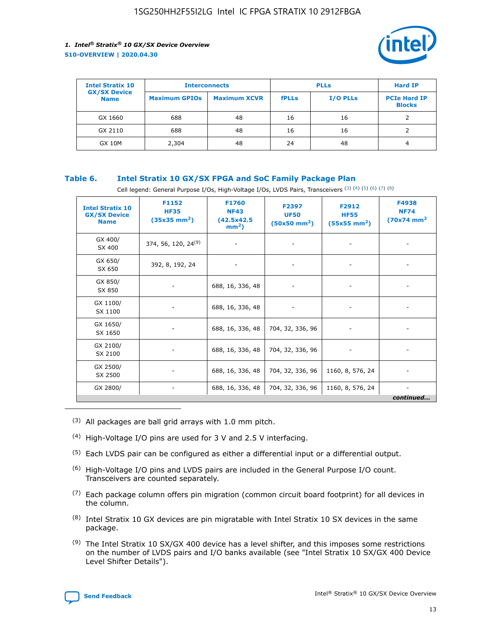

| <b>Intel Stratix 10</b>            | <b>Interconnects</b> |                     | <b>PLLs</b>  |                 | <b>Hard IP</b>                       |
|------------------------------------|----------------------|---------------------|--------------|-----------------|--------------------------------------|
| <b>GX/SX Device</b><br><b>Name</b> | <b>Maximum GPIOs</b> | <b>Maximum XCVR</b> | <b>fPLLs</b> | <b>I/O PLLs</b> | <b>PCIe Hard IP</b><br><b>Blocks</b> |
| GX 1660                            | 688                  | 48                  | 16           | 16              |                                      |
| GX 2110                            | 688                  | 48                  | 16           | 16              |                                      |
| <b>GX 10M</b>                      | 2,304                | 48                  | 24           | 48              | 4                                    |

## **Table 6. Intel Stratix 10 GX/SX FPGA and SoC Family Package Plan**

Cell legend: General Purpose I/Os, High-Voltage I/Os, LVDS Pairs, Transceivers (3) (4) (5) (6) (7) (8)

| <b>Intel Stratix 10</b><br><b>GX/SX Device</b><br><b>Name</b> | F1152<br><b>HF35</b><br>$(35x35 \text{ mm}^2)$ | <b>F1760</b><br><b>NF43</b><br>(42.5x42.5<br>$mm2$ ) | F2397<br><b>UF50</b><br>$(50x50 \text{ mm}^2)$ | F2912<br><b>HF55</b><br>$(55x55 \text{ mm}^2)$ | F4938<br><b>NF74</b><br>$(70x74)$ mm <sup>2</sup> |
|---------------------------------------------------------------|------------------------------------------------|------------------------------------------------------|------------------------------------------------|------------------------------------------------|---------------------------------------------------|
| GX 400/<br>SX 400                                             | 374, 56, 120, 24 <sup>(9)</sup>                | $\overline{\phantom{a}}$                             | $\overline{\phantom{a}}$                       |                                                |                                                   |
| GX 650/<br>SX 650                                             | 392, 8, 192, 24                                | ٠                                                    | $\overline{\phantom{a}}$                       |                                                |                                                   |
| GX 850/<br>SX 850                                             |                                                | 688, 16, 336, 48                                     |                                                |                                                |                                                   |
| GX 1100/<br>SX 1100                                           |                                                | 688, 16, 336, 48                                     |                                                |                                                |                                                   |
| GX 1650/<br>SX 1650                                           |                                                | 688, 16, 336, 48                                     | 704, 32, 336, 96                               |                                                |                                                   |
| GX 2100/<br>SX 2100                                           |                                                | 688, 16, 336, 48                                     | 704, 32, 336, 96                               | -                                              | ۰                                                 |
| GX 2500/<br>SX 2500                                           |                                                | 688, 16, 336, 48                                     | 704, 32, 336, 96                               | 1160, 8, 576, 24                               |                                                   |
| GX 2800/                                                      | $\overline{\phantom{a}}$                       | 688, 16, 336, 48                                     | 704, 32, 336, 96                               | 1160, 8, 576, 24                               | ٠<br>continued                                    |

- (3) All packages are ball grid arrays with 1.0 mm pitch.
- (4) High-Voltage I/O pins are used for 3 V and 2.5 V interfacing.
- $(5)$  Each LVDS pair can be configured as either a differential input or a differential output.
- (6) High-Voltage I/O pins and LVDS pairs are included in the General Purpose I/O count. Transceivers are counted separately.
- $(7)$  Each package column offers pin migration (common circuit board footprint) for all devices in the column.
- $(8)$  Intel Stratix 10 GX devices are pin migratable with Intel Stratix 10 SX devices in the same package.
- $(9)$  The Intel Stratix 10 SX/GX 400 device has a level shifter, and this imposes some restrictions on the number of LVDS pairs and I/O banks available (see "Intel Stratix 10 SX/GX 400 Device Level Shifter Details").

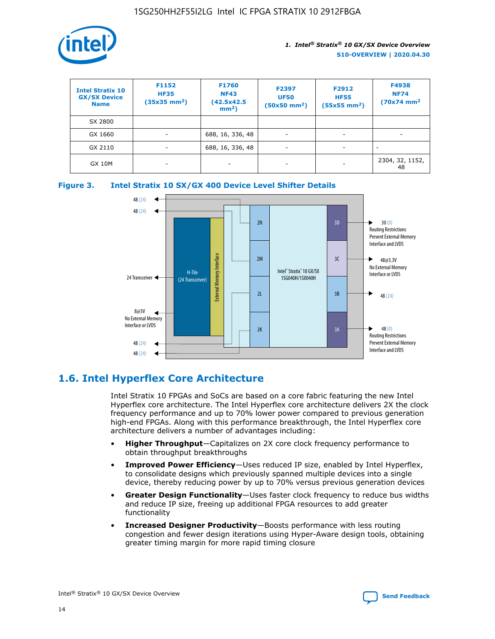

| <b>Intel Stratix 10</b><br><b>GX/SX Device</b><br><b>Name</b> | F1152<br><b>HF35</b><br>$(35x35)$ mm <sup>2</sup> ) | F1760<br><b>NF43</b><br>(42.5x42.5<br>$mm2$ ) | F2397<br><b>UF50</b><br>$(50x50 \text{ mm}^2)$ | F2912<br><b>HF55</b><br>$(55x55$ mm <sup>2</sup> ) | F4938<br><b>NF74</b><br>$(70x74)$ mm <sup>2</sup> |
|---------------------------------------------------------------|-----------------------------------------------------|-----------------------------------------------|------------------------------------------------|----------------------------------------------------|---------------------------------------------------|
| SX 2800                                                       |                                                     |                                               |                                                |                                                    |                                                   |
| GX 1660                                                       | -                                                   | 688, 16, 336, 48                              | $\overline{\phantom{a}}$                       |                                                    |                                                   |
| GX 2110                                                       |                                                     | 688, 16, 336, 48                              | $\overline{\phantom{a}}$                       |                                                    |                                                   |
| <b>GX 10M</b>                                                 | ۰                                                   |                                               |                                                |                                                    | 2304, 32, 1152,<br>48                             |





## **1.6. Intel Hyperflex Core Architecture**

Intel Stratix 10 FPGAs and SoCs are based on a core fabric featuring the new Intel Hyperflex core architecture. The Intel Hyperflex core architecture delivers 2X the clock frequency performance and up to 70% lower power compared to previous generation high-end FPGAs. Along with this performance breakthrough, the Intel Hyperflex core architecture delivers a number of advantages including:

- **Higher Throughput**—Capitalizes on 2X core clock frequency performance to obtain throughput breakthroughs
- **Improved Power Efficiency**—Uses reduced IP size, enabled by Intel Hyperflex, to consolidate designs which previously spanned multiple devices into a single device, thereby reducing power by up to 70% versus previous generation devices
- **Greater Design Functionality**—Uses faster clock frequency to reduce bus widths and reduce IP size, freeing up additional FPGA resources to add greater functionality
- **Increased Designer Productivity**—Boosts performance with less routing congestion and fewer design iterations using Hyper-Aware design tools, obtaining greater timing margin for more rapid timing closure

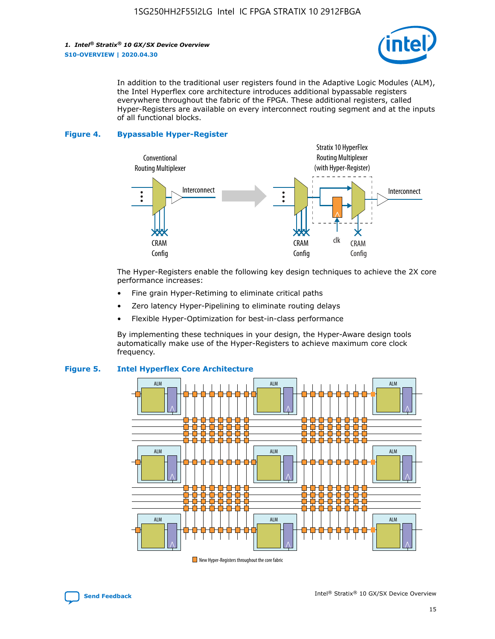

In addition to the traditional user registers found in the Adaptive Logic Modules (ALM), the Intel Hyperflex core architecture introduces additional bypassable registers everywhere throughout the fabric of the FPGA. These additional registers, called Hyper-Registers are available on every interconnect routing segment and at the inputs of all functional blocks.

#### **Figure 4. Bypassable Hyper-Register**



The Hyper-Registers enable the following key design techniques to achieve the 2X core performance increases:

- Fine grain Hyper-Retiming to eliminate critical paths
- Zero latency Hyper-Pipelining to eliminate routing delays
- Flexible Hyper-Optimization for best-in-class performance

By implementing these techniques in your design, the Hyper-Aware design tools automatically make use of the Hyper-Registers to achieve maximum core clock frequency.



## **Figure 5. Intel Hyperflex Core Architecture**

New Hyper-Registers throughout the core fabric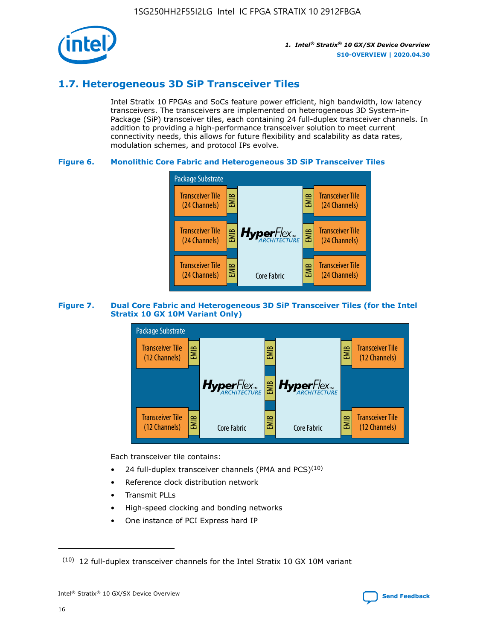

## **1.7. Heterogeneous 3D SiP Transceiver Tiles**

Intel Stratix 10 FPGAs and SoCs feature power efficient, high bandwidth, low latency transceivers. The transceivers are implemented on heterogeneous 3D System-in-Package (SiP) transceiver tiles, each containing 24 full-duplex transceiver channels. In addition to providing a high-performance transceiver solution to meet current connectivity needs, this allows for future flexibility and scalability as data rates, modulation schemes, and protocol IPs evolve.

## **Figure 6. Monolithic Core Fabric and Heterogeneous 3D SiP Transceiver Tiles**



## **Figure 7. Dual Core Fabric and Heterogeneous 3D SiP Transceiver Tiles (for the Intel Stratix 10 GX 10M Variant Only)**



Each transceiver tile contains:

- 24 full-duplex transceiver channels (PMA and PCS) $(10)$
- Reference clock distribution network
- Transmit PLLs
- High-speed clocking and bonding networks
- One instance of PCI Express hard IP

 $(10)$  12 full-duplex transceiver channels for the Intel Stratix 10 GX 10M variant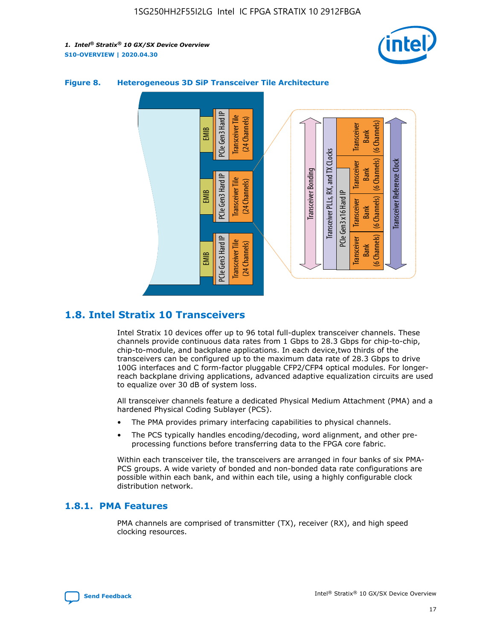



## **Figure 8. Heterogeneous 3D SiP Transceiver Tile Architecture**

## **1.8. Intel Stratix 10 Transceivers**

Intel Stratix 10 devices offer up to 96 total full-duplex transceiver channels. These channels provide continuous data rates from 1 Gbps to 28.3 Gbps for chip-to-chip, chip-to-module, and backplane applications. In each device,two thirds of the transceivers can be configured up to the maximum data rate of 28.3 Gbps to drive 100G interfaces and C form-factor pluggable CFP2/CFP4 optical modules. For longerreach backplane driving applications, advanced adaptive equalization circuits are used to equalize over 30 dB of system loss.

All transceiver channels feature a dedicated Physical Medium Attachment (PMA) and a hardened Physical Coding Sublayer (PCS).

- The PMA provides primary interfacing capabilities to physical channels.
- The PCS typically handles encoding/decoding, word alignment, and other preprocessing functions before transferring data to the FPGA core fabric.

Within each transceiver tile, the transceivers are arranged in four banks of six PMA-PCS groups. A wide variety of bonded and non-bonded data rate configurations are possible within each bank, and within each tile, using a highly configurable clock distribution network.

## **1.8.1. PMA Features**

PMA channels are comprised of transmitter (TX), receiver (RX), and high speed clocking resources.

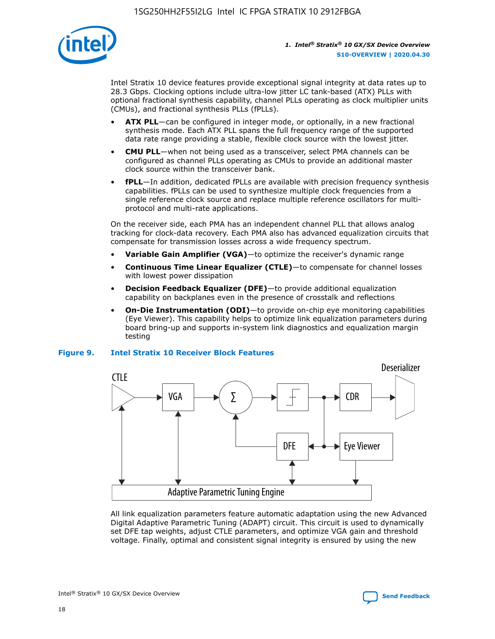

Intel Stratix 10 device features provide exceptional signal integrity at data rates up to 28.3 Gbps. Clocking options include ultra-low jitter LC tank-based (ATX) PLLs with optional fractional synthesis capability, channel PLLs operating as clock multiplier units (CMUs), and fractional synthesis PLLs (fPLLs).

- **ATX PLL**—can be configured in integer mode, or optionally, in a new fractional synthesis mode. Each ATX PLL spans the full frequency range of the supported data rate range providing a stable, flexible clock source with the lowest jitter.
- **CMU PLL**—when not being used as a transceiver, select PMA channels can be configured as channel PLLs operating as CMUs to provide an additional master clock source within the transceiver bank.
- **fPLL**—In addition, dedicated fPLLs are available with precision frequency synthesis capabilities. fPLLs can be used to synthesize multiple clock frequencies from a single reference clock source and replace multiple reference oscillators for multiprotocol and multi-rate applications.

On the receiver side, each PMA has an independent channel PLL that allows analog tracking for clock-data recovery. Each PMA also has advanced equalization circuits that compensate for transmission losses across a wide frequency spectrum.

- **Variable Gain Amplifier (VGA)**—to optimize the receiver's dynamic range
- **Continuous Time Linear Equalizer (CTLE)**—to compensate for channel losses with lowest power dissipation
- **Decision Feedback Equalizer (DFE)**—to provide additional equalization capability on backplanes even in the presence of crosstalk and reflections
- **On-Die Instrumentation (ODI)**—to provide on-chip eye monitoring capabilities (Eye Viewer). This capability helps to optimize link equalization parameters during board bring-up and supports in-system link diagnostics and equalization margin testing

#### **Figure 9. Intel Stratix 10 Receiver Block Features**



All link equalization parameters feature automatic adaptation using the new Advanced Digital Adaptive Parametric Tuning (ADAPT) circuit. This circuit is used to dynamically set DFE tap weights, adjust CTLE parameters, and optimize VGA gain and threshold voltage. Finally, optimal and consistent signal integrity is ensured by using the new

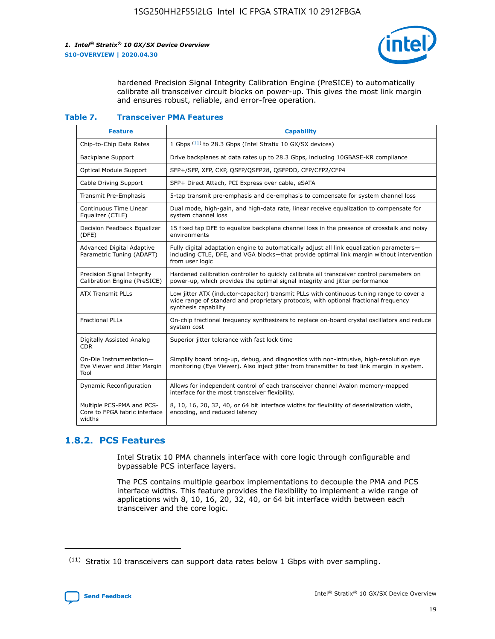

hardened Precision Signal Integrity Calibration Engine (PreSICE) to automatically calibrate all transceiver circuit blocks on power-up. This gives the most link margin and ensures robust, reliable, and error-free operation.

#### **Table 7. Transceiver PMA Features**

| <b>Feature</b>                                                       | <b>Capability</b>                                                                                                                                                                                         |
|----------------------------------------------------------------------|-----------------------------------------------------------------------------------------------------------------------------------------------------------------------------------------------------------|
| Chip-to-Chip Data Rates                                              | 1 Gbps (11) to 28.3 Gbps (Intel Stratix 10 GX/SX devices)                                                                                                                                                 |
| <b>Backplane Support</b>                                             | Drive backplanes at data rates up to 28.3 Gbps, including 10GBASE-KR compliance                                                                                                                           |
| Optical Module Support                                               | SFP+/SFP, XFP, CXP, QSFP/QSFP28, QSFPDD, CFP/CFP2/CFP4                                                                                                                                                    |
| Cable Driving Support                                                | SFP+ Direct Attach, PCI Express over cable, eSATA                                                                                                                                                         |
| <b>Transmit Pre-Emphasis</b>                                         | 5-tap transmit pre-emphasis and de-emphasis to compensate for system channel loss                                                                                                                         |
| Continuous Time Linear<br>Equalizer (CTLE)                           | Dual mode, high-gain, and high-data rate, linear receive equalization to compensate for<br>system channel loss                                                                                            |
| Decision Feedback Equalizer<br>(DFE)                                 | 15 fixed tap DFE to equalize backplane channel loss in the presence of crosstalk and noisy<br>environments                                                                                                |
| Advanced Digital Adaptive<br>Parametric Tuning (ADAPT)               | Fully digital adaptation engine to automatically adjust all link equalization parameters-<br>including CTLE, DFE, and VGA blocks-that provide optimal link margin without intervention<br>from user logic |
| Precision Signal Integrity<br>Calibration Engine (PreSICE)           | Hardened calibration controller to quickly calibrate all transceiver control parameters on<br>power-up, which provides the optimal signal integrity and jitter performance                                |
| <b>ATX Transmit PLLs</b>                                             | Low jitter ATX (inductor-capacitor) transmit PLLs with continuous tuning range to cover a<br>wide range of standard and proprietary protocols, with optional fractional frequency<br>synthesis capability |
| <b>Fractional PLLs</b>                                               | On-chip fractional frequency synthesizers to replace on-board crystal oscillators and reduce<br>system cost                                                                                               |
| Digitally Assisted Analog<br>CDR.                                    | Superior jitter tolerance with fast lock time                                                                                                                                                             |
| On-Die Instrumentation-<br>Eye Viewer and Jitter Margin<br>Tool      | Simplify board bring-up, debug, and diagnostics with non-intrusive, high-resolution eye<br>monitoring (Eye Viewer). Also inject jitter from transmitter to test link margin in system.                    |
| Dynamic Reconfiguration                                              | Allows for independent control of each transceiver channel Avalon memory-mapped<br>interface for the most transceiver flexibility.                                                                        |
| Multiple PCS-PMA and PCS-<br>Core to FPGA fabric interface<br>widths | 8, 10, 16, 20, 32, 40, or 64 bit interface widths for flexibility of deserialization width,<br>encoding, and reduced latency                                                                              |

## **1.8.2. PCS Features**

Intel Stratix 10 PMA channels interface with core logic through configurable and bypassable PCS interface layers.

The PCS contains multiple gearbox implementations to decouple the PMA and PCS interface widths. This feature provides the flexibility to implement a wide range of applications with 8, 10, 16, 20, 32, 40, or 64 bit interface width between each transceiver and the core logic.

<sup>(11)</sup> Stratix 10 transceivers can support data rates below 1 Gbps with over sampling.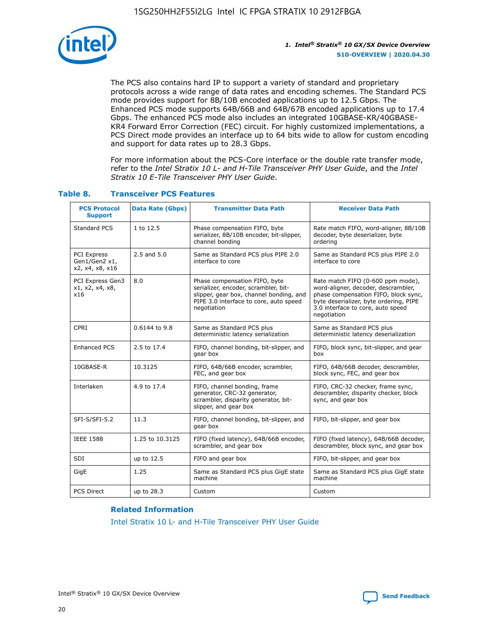

The PCS also contains hard IP to support a variety of standard and proprietary protocols across a wide range of data rates and encoding schemes. The Standard PCS mode provides support for 8B/10B encoded applications up to 12.5 Gbps. The Enhanced PCS mode supports 64B/66B and 64B/67B encoded applications up to 17.4 Gbps. The enhanced PCS mode also includes an integrated 10GBASE-KR/40GBASE-KR4 Forward Error Correction (FEC) circuit. For highly customized implementations, a PCS Direct mode provides an interface up to 64 bits wide to allow for custom encoding and support for data rates up to 28.3 Gbps.

For more information about the PCS-Core interface or the double rate transfer mode, refer to the *Intel Stratix 10 L- and H-Tile Transceiver PHY User Guide*, and the *Intel Stratix 10 E-Tile Transceiver PHY User Guide*.

| <b>PCS Protocol</b><br><b>Support</b>           | Data Rate (Gbps) | <b>Transmitter Data Path</b>                                                                                                                                              | <b>Receiver Data Path</b>                                                                                                                                                                                      |
|-------------------------------------------------|------------------|---------------------------------------------------------------------------------------------------------------------------------------------------------------------------|----------------------------------------------------------------------------------------------------------------------------------------------------------------------------------------------------------------|
| Standard PCS                                    | 1 to 12.5        | Phase compensation FIFO, byte<br>serializer, 8B/10B encoder, bit-slipper,<br>channel bonding                                                                              | Rate match FIFO, word-aligner, 8B/10B<br>decoder, byte deserializer, byte<br>ordering                                                                                                                          |
| PCI Express<br>Gen1/Gen2 x1,<br>x2, x4, x8, x16 | $2.5$ and $5.0$  | Same as Standard PCS plus PIPE 2.0<br>interface to core                                                                                                                   | Same as Standard PCS plus PIPE 2.0<br>interface to core                                                                                                                                                        |
| PCI Express Gen3<br>x1, x2, x4, x8,<br>x16      | 8.0              | Phase compensation FIFO, byte<br>serializer, encoder, scrambler, bit-<br>slipper, gear box, channel bonding, and<br>PIPE 3.0 interface to core, auto speed<br>negotiation | Rate match FIFO (0-600 ppm mode),<br>word-aligner, decoder, descrambler,<br>phase compensation FIFO, block sync,<br>byte deserializer, byte ordering, PIPE<br>3.0 interface to core, auto speed<br>negotiation |
| CPRI                                            | 0.6144 to 9.8    | Same as Standard PCS plus<br>deterministic latency serialization                                                                                                          | Same as Standard PCS plus<br>deterministic latency deserialization                                                                                                                                             |
| <b>Enhanced PCS</b>                             | 2.5 to 17.4      | FIFO, channel bonding, bit-slipper, and<br>gear box                                                                                                                       | FIFO, block sync, bit-slipper, and gear<br>box                                                                                                                                                                 |
| 10GBASE-R                                       | 10.3125          | FIFO, 64B/66B encoder, scrambler,<br>FEC, and gear box                                                                                                                    | FIFO, 64B/66B decoder, descrambler,<br>block sync, FEC, and gear box                                                                                                                                           |
| Interlaken                                      | 4.9 to 17.4      | FIFO, channel bonding, frame<br>generator, CRC-32 generator,<br>scrambler, disparity generator, bit-<br>slipper, and gear box                                             | FIFO, CRC-32 checker, frame sync,<br>descrambler, disparity checker, block<br>sync, and gear box                                                                                                               |
| SFI-S/SFI-5.2                                   | 11.3             | FIFO, channel bonding, bit-slipper, and<br>gear box                                                                                                                       | FIFO, bit-slipper, and gear box                                                                                                                                                                                |
| <b>IEEE 1588</b>                                | 1.25 to 10.3125  | FIFO (fixed latency), 64B/66B encoder,<br>scrambler, and gear box                                                                                                         | FIFO (fixed latency), 64B/66B decoder,<br>descrambler, block sync, and gear box                                                                                                                                |
| SDI                                             | up to 12.5       | FIFO and gear box                                                                                                                                                         | FIFO, bit-slipper, and gear box                                                                                                                                                                                |
| GigE                                            | 1.25             | Same as Standard PCS plus GigE state<br>machine                                                                                                                           | Same as Standard PCS plus GigE state<br>machine                                                                                                                                                                |
| <b>PCS Direct</b>                               | up to 28.3       | Custom                                                                                                                                                                    | Custom                                                                                                                                                                                                         |

## **Table 8. Transceiver PCS Features**

#### **Related Information**

[Intel Stratix 10 L- and H-Tile Transceiver PHY User Guide](https://www.altera.com/documentation/wry1479165198810.html)

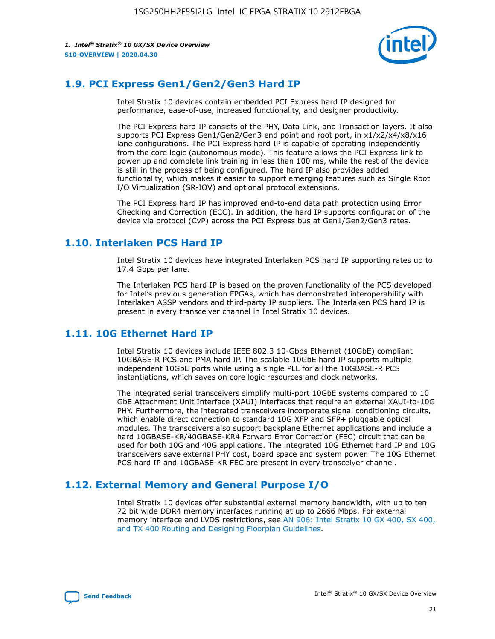

## **1.9. PCI Express Gen1/Gen2/Gen3 Hard IP**

Intel Stratix 10 devices contain embedded PCI Express hard IP designed for performance, ease-of-use, increased functionality, and designer productivity.

The PCI Express hard IP consists of the PHY, Data Link, and Transaction layers. It also supports PCI Express Gen1/Gen2/Gen3 end point and root port, in x1/x2/x4/x8/x16 lane configurations. The PCI Express hard IP is capable of operating independently from the core logic (autonomous mode). This feature allows the PCI Express link to power up and complete link training in less than 100 ms, while the rest of the device is still in the process of being configured. The hard IP also provides added functionality, which makes it easier to support emerging features such as Single Root I/O Virtualization (SR-IOV) and optional protocol extensions.

The PCI Express hard IP has improved end-to-end data path protection using Error Checking and Correction (ECC). In addition, the hard IP supports configuration of the device via protocol (CvP) across the PCI Express bus at Gen1/Gen2/Gen3 rates.

## **1.10. Interlaken PCS Hard IP**

Intel Stratix 10 devices have integrated Interlaken PCS hard IP supporting rates up to 17.4 Gbps per lane.

The Interlaken PCS hard IP is based on the proven functionality of the PCS developed for Intel's previous generation FPGAs, which has demonstrated interoperability with Interlaken ASSP vendors and third-party IP suppliers. The Interlaken PCS hard IP is present in every transceiver channel in Intel Stratix 10 devices.

## **1.11. 10G Ethernet Hard IP**

Intel Stratix 10 devices include IEEE 802.3 10-Gbps Ethernet (10GbE) compliant 10GBASE-R PCS and PMA hard IP. The scalable 10GbE hard IP supports multiple independent 10GbE ports while using a single PLL for all the 10GBASE-R PCS instantiations, which saves on core logic resources and clock networks.

The integrated serial transceivers simplify multi-port 10GbE systems compared to 10 GbE Attachment Unit Interface (XAUI) interfaces that require an external XAUI-to-10G PHY. Furthermore, the integrated transceivers incorporate signal conditioning circuits, which enable direct connection to standard 10G XFP and SFP+ pluggable optical modules. The transceivers also support backplane Ethernet applications and include a hard 10GBASE-KR/40GBASE-KR4 Forward Error Correction (FEC) circuit that can be used for both 10G and 40G applications. The integrated 10G Ethernet hard IP and 10G transceivers save external PHY cost, board space and system power. The 10G Ethernet PCS hard IP and 10GBASE-KR FEC are present in every transceiver channel.

## **1.12. External Memory and General Purpose I/O**

Intel Stratix 10 devices offer substantial external memory bandwidth, with up to ten 72 bit wide DDR4 memory interfaces running at up to 2666 Mbps. For external memory interface and LVDS restrictions, see [AN 906: Intel Stratix 10 GX 400, SX 400,](https://www.intel.com/content/www/us/en/programmable/documentation/sjf1574667190623.html#bft1574667627484) [and TX 400 Routing and Designing Floorplan Guidelines.](https://www.intel.com/content/www/us/en/programmable/documentation/sjf1574667190623.html#bft1574667627484)

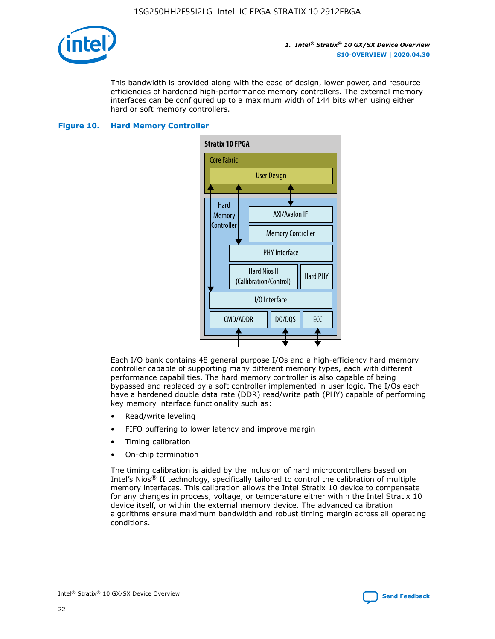

This bandwidth is provided along with the ease of design, lower power, and resource efficiencies of hardened high-performance memory controllers. The external memory interfaces can be configured up to a maximum width of 144 bits when using either hard or soft memory controllers.

### **Figure 10. Hard Memory Controller**



Each I/O bank contains 48 general purpose I/Os and a high-efficiency hard memory controller capable of supporting many different memory types, each with different performance capabilities. The hard memory controller is also capable of being bypassed and replaced by a soft controller implemented in user logic. The I/Os each have a hardened double data rate (DDR) read/write path (PHY) capable of performing key memory interface functionality such as:

- Read/write leveling
- FIFO buffering to lower latency and improve margin
- Timing calibration
- On-chip termination

The timing calibration is aided by the inclusion of hard microcontrollers based on Intel's Nios® II technology, specifically tailored to control the calibration of multiple memory interfaces. This calibration allows the Intel Stratix 10 device to compensate for any changes in process, voltage, or temperature either within the Intel Stratix 10 device itself, or within the external memory device. The advanced calibration algorithms ensure maximum bandwidth and robust timing margin across all operating conditions.

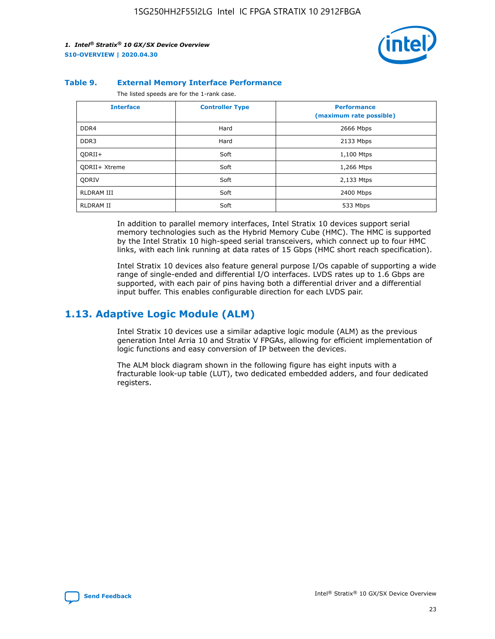

#### **Table 9. External Memory Interface Performance**

The listed speeds are for the 1-rank case.

| <b>Interface</b> | <b>Controller Type</b> | <b>Performance</b><br>(maximum rate possible) |
|------------------|------------------------|-----------------------------------------------|
| DDR4             | Hard                   | 2666 Mbps                                     |
| DDR <sub>3</sub> | Hard                   | 2133 Mbps                                     |
| QDRII+           | Soft                   | 1,100 Mtps                                    |
| QDRII+ Xtreme    | Soft                   | 1,266 Mtps                                    |
| <b>ODRIV</b>     | Soft                   | 2,133 Mtps                                    |
| RLDRAM III       | Soft                   | 2400 Mbps                                     |
| <b>RLDRAM II</b> | Soft                   | 533 Mbps                                      |

In addition to parallel memory interfaces, Intel Stratix 10 devices support serial memory technologies such as the Hybrid Memory Cube (HMC). The HMC is supported by the Intel Stratix 10 high-speed serial transceivers, which connect up to four HMC links, with each link running at data rates of 15 Gbps (HMC short reach specification).

Intel Stratix 10 devices also feature general purpose I/Os capable of supporting a wide range of single-ended and differential I/O interfaces. LVDS rates up to 1.6 Gbps are supported, with each pair of pins having both a differential driver and a differential input buffer. This enables configurable direction for each LVDS pair.

## **1.13. Adaptive Logic Module (ALM)**

Intel Stratix 10 devices use a similar adaptive logic module (ALM) as the previous generation Intel Arria 10 and Stratix V FPGAs, allowing for efficient implementation of logic functions and easy conversion of IP between the devices.

The ALM block diagram shown in the following figure has eight inputs with a fracturable look-up table (LUT), two dedicated embedded adders, and four dedicated registers.

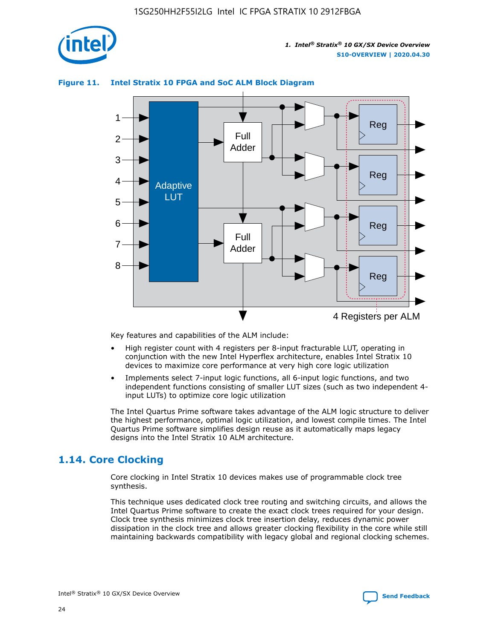

## **Figure 11. Intel Stratix 10 FPGA and SoC ALM Block Diagram**



Key features and capabilities of the ALM include:

- High register count with 4 registers per 8-input fracturable LUT, operating in conjunction with the new Intel Hyperflex architecture, enables Intel Stratix 10 devices to maximize core performance at very high core logic utilization
- Implements select 7-input logic functions, all 6-input logic functions, and two independent functions consisting of smaller LUT sizes (such as two independent 4 input LUTs) to optimize core logic utilization

The Intel Quartus Prime software takes advantage of the ALM logic structure to deliver the highest performance, optimal logic utilization, and lowest compile times. The Intel Quartus Prime software simplifies design reuse as it automatically maps legacy designs into the Intel Stratix 10 ALM architecture.

## **1.14. Core Clocking**

Core clocking in Intel Stratix 10 devices makes use of programmable clock tree synthesis.

This technique uses dedicated clock tree routing and switching circuits, and allows the Intel Quartus Prime software to create the exact clock trees required for your design. Clock tree synthesis minimizes clock tree insertion delay, reduces dynamic power dissipation in the clock tree and allows greater clocking flexibility in the core while still maintaining backwards compatibility with legacy global and regional clocking schemes.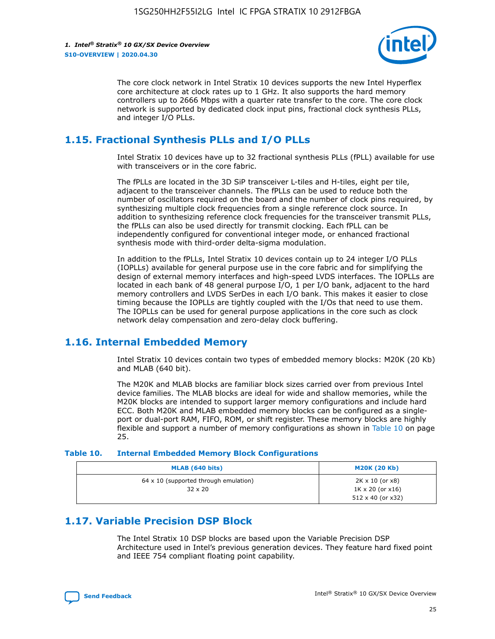

The core clock network in Intel Stratix 10 devices supports the new Intel Hyperflex core architecture at clock rates up to 1 GHz. It also supports the hard memory controllers up to 2666 Mbps with a quarter rate transfer to the core. The core clock network is supported by dedicated clock input pins, fractional clock synthesis PLLs, and integer I/O PLLs.

## **1.15. Fractional Synthesis PLLs and I/O PLLs**

Intel Stratix 10 devices have up to 32 fractional synthesis PLLs (fPLL) available for use with transceivers or in the core fabric.

The fPLLs are located in the 3D SiP transceiver L-tiles and H-tiles, eight per tile, adjacent to the transceiver channels. The fPLLs can be used to reduce both the number of oscillators required on the board and the number of clock pins required, by synthesizing multiple clock frequencies from a single reference clock source. In addition to synthesizing reference clock frequencies for the transceiver transmit PLLs, the fPLLs can also be used directly for transmit clocking. Each fPLL can be independently configured for conventional integer mode, or enhanced fractional synthesis mode with third-order delta-sigma modulation.

In addition to the fPLLs, Intel Stratix 10 devices contain up to 24 integer I/O PLLs (IOPLLs) available for general purpose use in the core fabric and for simplifying the design of external memory interfaces and high-speed LVDS interfaces. The IOPLLs are located in each bank of 48 general purpose I/O, 1 per I/O bank, adjacent to the hard memory controllers and LVDS SerDes in each I/O bank. This makes it easier to close timing because the IOPLLs are tightly coupled with the I/Os that need to use them. The IOPLLs can be used for general purpose applications in the core such as clock network delay compensation and zero-delay clock buffering.

## **1.16. Internal Embedded Memory**

Intel Stratix 10 devices contain two types of embedded memory blocks: M20K (20 Kb) and MLAB (640 bit).

The M20K and MLAB blocks are familiar block sizes carried over from previous Intel device families. The MLAB blocks are ideal for wide and shallow memories, while the M20K blocks are intended to support larger memory configurations and include hard ECC. Both M20K and MLAB embedded memory blocks can be configured as a singleport or dual-port RAM, FIFO, ROM, or shift register. These memory blocks are highly flexible and support a number of memory configurations as shown in Table 10 on page 25.

#### **Table 10. Internal Embedded Memory Block Configurations**

| MLAB (640 bits)                                                | <b>M20K (20 Kb)</b>                                                          |
|----------------------------------------------------------------|------------------------------------------------------------------------------|
| $64 \times 10$ (supported through emulation)<br>$32 \times 20$ | 2K x 10 (or x8)<br>$1K \times 20$ (or $x16$ )<br>$512 \times 40$ (or $x32$ ) |

## **1.17. Variable Precision DSP Block**

The Intel Stratix 10 DSP blocks are based upon the Variable Precision DSP Architecture used in Intel's previous generation devices. They feature hard fixed point and IEEE 754 compliant floating point capability.

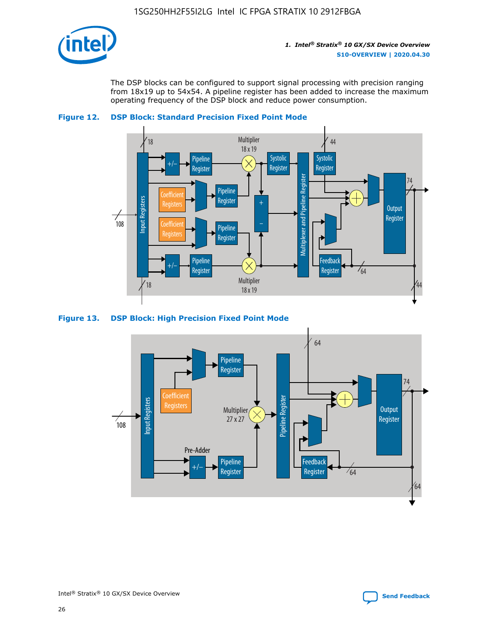

The DSP blocks can be configured to support signal processing with precision ranging from 18x19 up to 54x54. A pipeline register has been added to increase the maximum operating frequency of the DSP block and reduce power consumption.



### **Figure 12. DSP Block: Standard Precision Fixed Point Mode**



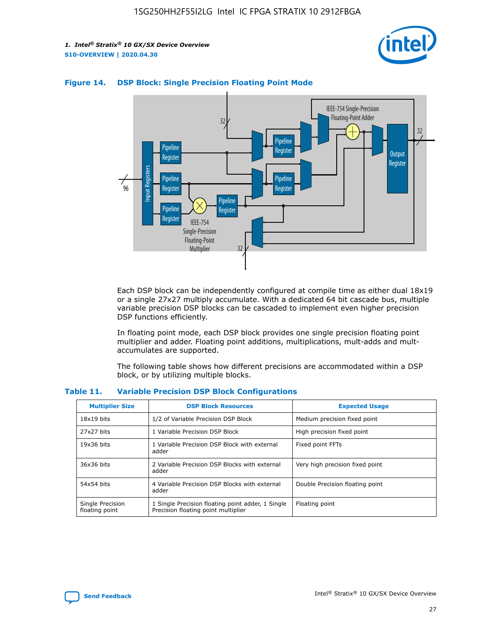



## **Figure 14. DSP Block: Single Precision Floating Point Mode**

Each DSP block can be independently configured at compile time as either dual 18x19 or a single 27x27 multiply accumulate. With a dedicated 64 bit cascade bus, multiple variable precision DSP blocks can be cascaded to implement even higher precision DSP functions efficiently.

In floating point mode, each DSP block provides one single precision floating point multiplier and adder. Floating point additions, multiplications, mult-adds and multaccumulates are supported.

The following table shows how different precisions are accommodated within a DSP block, or by utilizing multiple blocks.

| <b>Multiplier Size</b>             | <b>DSP Block Resources</b>                                                               | <b>Expected Usage</b>           |
|------------------------------------|------------------------------------------------------------------------------------------|---------------------------------|
| $18x19$ bits                       | 1/2 of Variable Precision DSP Block                                                      | Medium precision fixed point    |
| 27x27 bits                         | 1 Variable Precision DSP Block                                                           | High precision fixed point      |
| $19x36$ bits                       | 1 Variable Precision DSP Block with external<br>adder                                    | Fixed point FFTs                |
| 36x36 bits                         | 2 Variable Precision DSP Blocks with external<br>adder                                   | Very high precision fixed point |
| 54x54 bits                         | 4 Variable Precision DSP Blocks with external<br>adder                                   | Double Precision floating point |
| Single Precision<br>floating point | 1 Single Precision floating point adder, 1 Single<br>Precision floating point multiplier | Floating point                  |

#### **Table 11. Variable Precision DSP Block Configurations**

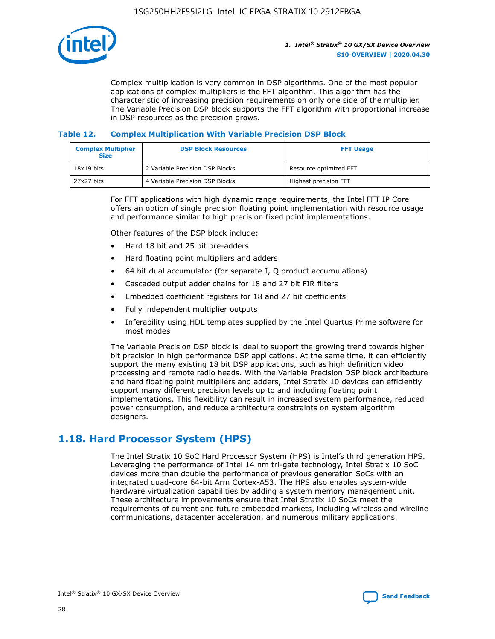

Complex multiplication is very common in DSP algorithms. One of the most popular applications of complex multipliers is the FFT algorithm. This algorithm has the characteristic of increasing precision requirements on only one side of the multiplier. The Variable Precision DSP block supports the FFT algorithm with proportional increase in DSP resources as the precision grows.

### **Table 12. Complex Multiplication With Variable Precision DSP Block**

| <b>Complex Multiplier</b><br><b>Size</b> | <b>DSP Block Resources</b>      | <b>FFT Usage</b>       |
|------------------------------------------|---------------------------------|------------------------|
| $18x19$ bits                             | 2 Variable Precision DSP Blocks | Resource optimized FFT |
| $27x27$ bits                             | 4 Variable Precision DSP Blocks | Highest precision FFT  |

For FFT applications with high dynamic range requirements, the Intel FFT IP Core offers an option of single precision floating point implementation with resource usage and performance similar to high precision fixed point implementations.

Other features of the DSP block include:

- Hard 18 bit and 25 bit pre-adders
- Hard floating point multipliers and adders
- 64 bit dual accumulator (for separate I, Q product accumulations)
- Cascaded output adder chains for 18 and 27 bit FIR filters
- Embedded coefficient registers for 18 and 27 bit coefficients
- Fully independent multiplier outputs
- Inferability using HDL templates supplied by the Intel Quartus Prime software for most modes

The Variable Precision DSP block is ideal to support the growing trend towards higher bit precision in high performance DSP applications. At the same time, it can efficiently support the many existing 18 bit DSP applications, such as high definition video processing and remote radio heads. With the Variable Precision DSP block architecture and hard floating point multipliers and adders, Intel Stratix 10 devices can efficiently support many different precision levels up to and including floating point implementations. This flexibility can result in increased system performance, reduced power consumption, and reduce architecture constraints on system algorithm designers.

## **1.18. Hard Processor System (HPS)**

The Intel Stratix 10 SoC Hard Processor System (HPS) is Intel's third generation HPS. Leveraging the performance of Intel 14 nm tri-gate technology, Intel Stratix 10 SoC devices more than double the performance of previous generation SoCs with an integrated quad-core 64-bit Arm Cortex-A53. The HPS also enables system-wide hardware virtualization capabilities by adding a system memory management unit. These architecture improvements ensure that Intel Stratix 10 SoCs meet the requirements of current and future embedded markets, including wireless and wireline communications, datacenter acceleration, and numerous military applications.

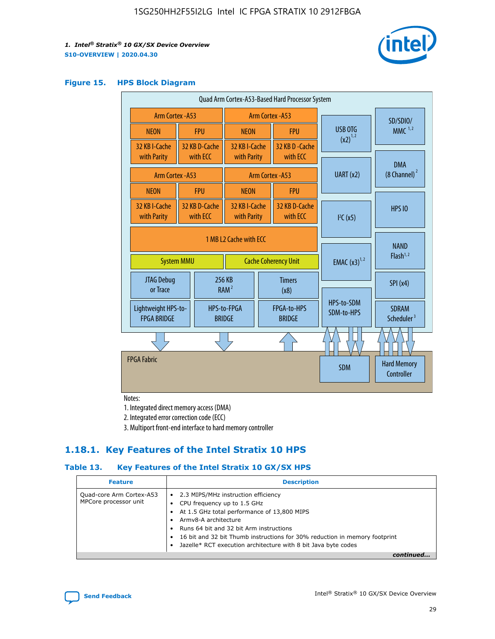

#### **Figure 15. HPS Block Diagram**

| Quad Arm Cortex-A53-Based Hard Processor System |                  |                                                       |                                           |                          |                                     |                          |                                        |          |
|-------------------------------------------------|------------------|-------------------------------------------------------|-------------------------------------------|--------------------------|-------------------------------------|--------------------------|----------------------------------------|----------|
| Arm Cortex - A53                                |                  |                                                       | Arm Cortex - A53                          |                          |                                     |                          |                                        | SD/SDIO/ |
| <b>NEON</b>                                     |                  | <b>FPU</b>                                            | <b>NEON</b>                               |                          | <b>FPU</b>                          | <b>USB OTG</b>           | $MMC$ <sup>1,2</sup>                   |          |
| 32 KB I-Cache<br>with Parity                    |                  | 32 KB D-Cache<br>with ECC                             | 32 KB I-Cache<br>with Parity              |                          | 32 KB D-Cache<br>with ECC           | $(x2)^{1,2}$             |                                        |          |
|                                                 | Arm Cortex - A53 |                                                       |                                           |                          | Arm Cortex - A53                    | UART (x2)                | <b>DMA</b><br>$(8 \text{ Channel})^2$  |          |
| <b>NEON</b>                                     |                  | <b>FPU</b>                                            | <b>NEON</b>                               |                          | <b>FPU</b>                          |                          |                                        |          |
| 32 KB I-Cache<br>with Parity                    |                  | 32 KB D-Cache<br>with ECC                             | 32 KB I-Cache<br>with Parity              |                          | 32 KB D-Cache<br>with ECC           | I <sup>2</sup> C(x5)     | <b>HPS 10</b>                          |          |
| <b>System MMU</b>                               |                  | 1 MB L2 Cache with ECC<br><b>Cache Coherency Unit</b> |                                           | <b>EMAC</b> $(x3)^{1,2}$ | <b>NAND</b><br>Flash <sup>1,2</sup> |                          |                                        |          |
| JTAG Debug<br>or Trace                          |                  | 256 KB                                                | <b>Timers</b><br>RAM <sup>2</sup><br>(x8) |                          |                                     |                          | SPI(x4)                                |          |
| Lightweight HPS-to-<br><b>FPGA BRIDGE</b>       |                  |                                                       | HPS-to-FPGA<br><b>BRIDGE</b>              |                          | FPGA-to-HPS<br><b>BRIDGE</b>        | HPS-to-SDM<br>SDM-to-HPS | <b>SDRAM</b><br>Scheduler <sup>3</sup> |          |
|                                                 |                  |                                                       |                                           |                          |                                     |                          |                                        |          |
| <b>FPGA Fabric</b>                              |                  |                                                       |                                           |                          |                                     | <b>SDM</b>               | <b>Hard Memory</b><br>Controller       |          |

Notes:

1. Integrated direct memory access (DMA)

2. Integrated error correction code (ECC)

3. Multiport front-end interface to hard memory controller

## **1.18.1. Key Features of the Intel Stratix 10 HPS**

## **Table 13. Key Features of the Intel Stratix 10 GX/SX HPS**

| <b>Feature</b>                                    | <b>Description</b>                                                                                                                                                                                                                                                                                                                                     |
|---------------------------------------------------|--------------------------------------------------------------------------------------------------------------------------------------------------------------------------------------------------------------------------------------------------------------------------------------------------------------------------------------------------------|
| Quad-core Arm Cortex-A53<br>MPCore processor unit | 2.3 MIPS/MHz instruction efficiency<br>$\bullet$<br>CPU frequency up to 1.5 GHz<br>٠<br>At 1.5 GHz total performance of 13,800 MIPS<br>Army8-A architecture<br>Runs 64 bit and 32 bit Arm instructions<br>16 bit and 32 bit Thumb instructions for 30% reduction in memory footprint<br>Jazelle* RCT execution architecture with 8 bit Java byte codes |
|                                                   |                                                                                                                                                                                                                                                                                                                                                        |

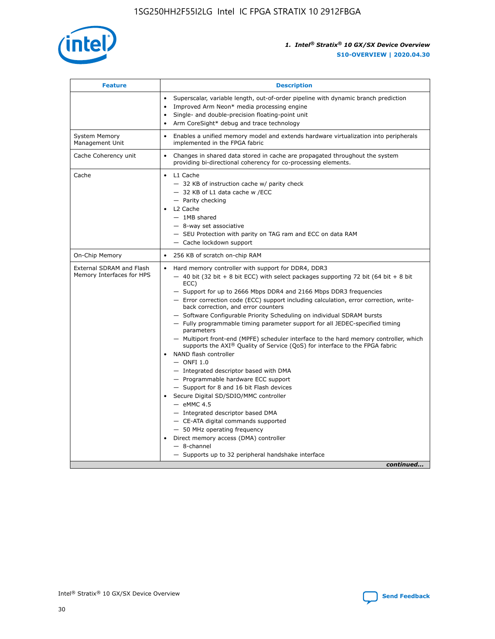

| <b>Feature</b>                                        | <b>Description</b>                                                                                                                                                                                                                                                                                                                                                                                                                                                                                                                                                                                                                                                                                                                                                                                                                                                                                                                                                                                                                                                                                                                                                                                                     |
|-------------------------------------------------------|------------------------------------------------------------------------------------------------------------------------------------------------------------------------------------------------------------------------------------------------------------------------------------------------------------------------------------------------------------------------------------------------------------------------------------------------------------------------------------------------------------------------------------------------------------------------------------------------------------------------------------------------------------------------------------------------------------------------------------------------------------------------------------------------------------------------------------------------------------------------------------------------------------------------------------------------------------------------------------------------------------------------------------------------------------------------------------------------------------------------------------------------------------------------------------------------------------------------|
|                                                       | Superscalar, variable length, out-of-order pipeline with dynamic branch prediction<br>Improved Arm Neon* media processing engine<br>$\bullet$<br>Single- and double-precision floating-point unit<br>Arm CoreSight* debug and trace technology<br>$\bullet$                                                                                                                                                                                                                                                                                                                                                                                                                                                                                                                                                                                                                                                                                                                                                                                                                                                                                                                                                            |
| <b>System Memory</b><br>Management Unit               | Enables a unified memory model and extends hardware virtualization into peripherals<br>$\bullet$<br>implemented in the FPGA fabric                                                                                                                                                                                                                                                                                                                                                                                                                                                                                                                                                                                                                                                                                                                                                                                                                                                                                                                                                                                                                                                                                     |
| Cache Coherency unit                                  | $\bullet$<br>Changes in shared data stored in cache are propagated throughout the system<br>providing bi-directional coherency for co-processing elements.                                                                                                                                                                                                                                                                                                                                                                                                                                                                                                                                                                                                                                                                                                                                                                                                                                                                                                                                                                                                                                                             |
| Cache                                                 | L1 Cache<br>$\bullet$<br>- 32 KB of instruction cache w/ parity check<br>- 32 KB of L1 data cache w /ECC<br>- Parity checking<br>L2 Cache<br>$-$ 1MB shared<br>- 8-way set associative<br>- SEU Protection with parity on TAG ram and ECC on data RAM<br>- Cache lockdown support                                                                                                                                                                                                                                                                                                                                                                                                                                                                                                                                                                                                                                                                                                                                                                                                                                                                                                                                      |
| On-Chip Memory                                        | 256 KB of scratch on-chip RAM<br>$\bullet$                                                                                                                                                                                                                                                                                                                                                                                                                                                                                                                                                                                                                                                                                                                                                                                                                                                                                                                                                                                                                                                                                                                                                                             |
| External SDRAM and Flash<br>Memory Interfaces for HPS | Hard memory controller with support for DDR4, DDR3<br>$\bullet$<br>$-$ 40 bit (32 bit + 8 bit ECC) with select packages supporting 72 bit (64 bit + 8 bit<br>ECC)<br>- Support for up to 2666 Mbps DDR4 and 2166 Mbps DDR3 frequencies<br>- Error correction code (ECC) support including calculation, error correction, write-<br>back correction, and error counters<br>- Software Configurable Priority Scheduling on individual SDRAM bursts<br>- Fully programmable timing parameter support for all JEDEC-specified timing<br>parameters<br>- Multiport front-end (MPFE) scheduler interface to the hard memory controller, which<br>supports the $AXI^{\circledR}$ Quality of Service (QoS) for interface to the FPGA fabric<br>NAND flash controller<br>$-$ ONFI 1.0<br>- Integrated descriptor based with DMA<br>- Programmable hardware ECC support<br>- Support for 8 and 16 bit Flash devices<br>Secure Digital SD/SDIO/MMC controller<br>$-$ eMMC 4.5<br>- Integrated descriptor based DMA<br>- CE-ATA digital commands supported<br>- 50 MHz operating frequency<br>Direct memory access (DMA) controller<br>$\bullet$<br>- 8-channel<br>- Supports up to 32 peripheral handshake interface<br>continued |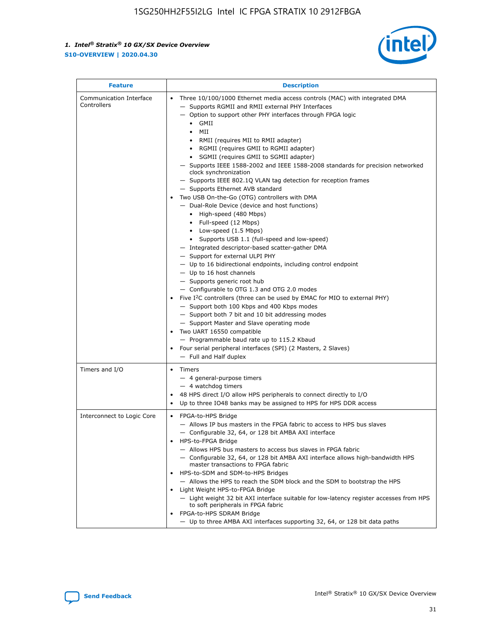

| <b>Feature</b>                         | <b>Description</b>                                                                                                                                                                                                                                                                                                                                                                                                                                                                                                                                                                                                                                                                                                                                                                                                                                                                                                                                                                                                                                                                                                                                                                                                                                                                                                                                                                                                                                                                                                     |
|----------------------------------------|------------------------------------------------------------------------------------------------------------------------------------------------------------------------------------------------------------------------------------------------------------------------------------------------------------------------------------------------------------------------------------------------------------------------------------------------------------------------------------------------------------------------------------------------------------------------------------------------------------------------------------------------------------------------------------------------------------------------------------------------------------------------------------------------------------------------------------------------------------------------------------------------------------------------------------------------------------------------------------------------------------------------------------------------------------------------------------------------------------------------------------------------------------------------------------------------------------------------------------------------------------------------------------------------------------------------------------------------------------------------------------------------------------------------------------------------------------------------------------------------------------------------|
| Communication Interface<br>Controllers | Three 10/100/1000 Ethernet media access controls (MAC) with integrated DMA<br>$\bullet$<br>- Supports RGMII and RMII external PHY Interfaces<br>- Option to support other PHY interfaces through FPGA logic<br>$\bullet$ GMII<br>MII<br>$\bullet$<br>RMII (requires MII to RMII adapter)<br>$\bullet$<br>• RGMII (requires GMII to RGMII adapter)<br>SGMII (requires GMII to SGMII adapter)<br>- Supports IEEE 1588-2002 and IEEE 1588-2008 standards for precision networked<br>clock synchronization<br>- Supports IEEE 802.1Q VLAN tag detection for reception frames<br>- Supports Ethernet AVB standard<br>Two USB On-the-Go (OTG) controllers with DMA<br>- Dual-Role Device (device and host functions)<br>• High-speed (480 Mbps)<br>• Full-speed (12 Mbps)<br>• Low-speed (1.5 Mbps)<br>• Supports USB 1.1 (full-speed and low-speed)<br>- Integrated descriptor-based scatter-gather DMA<br>- Support for external ULPI PHY<br>- Up to 16 bidirectional endpoints, including control endpoint<br>$-$ Up to 16 host channels<br>- Supports generic root hub<br>- Configurable to OTG 1.3 and OTG 2.0 modes<br>Five $I2C$ controllers (three can be used by EMAC for MIO to external PHY)<br>- Support both 100 Kbps and 400 Kbps modes<br>- Support both 7 bit and 10 bit addressing modes<br>- Support Master and Slave operating mode<br>Two UART 16550 compatible<br>- Programmable baud rate up to 115.2 Kbaud<br>Four serial peripheral interfaces (SPI) (2 Masters, 2 Slaves)<br>- Full and Half duplex |
| Timers and I/O                         | Timers<br>$\bullet$<br>- 4 general-purpose timers<br>$-4$ watchdog timers<br>48 HPS direct I/O allow HPS peripherals to connect directly to I/O<br>Up to three IO48 banks may be assigned to HPS for HPS DDR access                                                                                                                                                                                                                                                                                                                                                                                                                                                                                                                                                                                                                                                                                                                                                                                                                                                                                                                                                                                                                                                                                                                                                                                                                                                                                                    |
| Interconnect to Logic Core             | • FPGA-to-HPS Bridge<br>- Allows IP bus masters in the FPGA fabric to access to HPS bus slaves<br>- Configurable 32, 64, or 128 bit AMBA AXI interface<br>HPS-to-FPGA Bridge<br>- Allows HPS bus masters to access bus slaves in FPGA fabric<br>- Configurable 32, 64, or 128 bit AMBA AXI interface allows high-bandwidth HPS<br>master transactions to FPGA fabric<br>HPS-to-SDM and SDM-to-HPS Bridges<br>- Allows the HPS to reach the SDM block and the SDM to bootstrap the HPS<br>Light Weight HPS-to-FPGA Bridge<br>- Light weight 32 bit AXI interface suitable for low-latency register accesses from HPS<br>to soft peripherals in FPGA fabric<br>FPGA-to-HPS SDRAM Bridge<br>- Up to three AMBA AXI interfaces supporting 32, 64, or 128 bit data paths                                                                                                                                                                                                                                                                                                                                                                                                                                                                                                                                                                                                                                                                                                                                                    |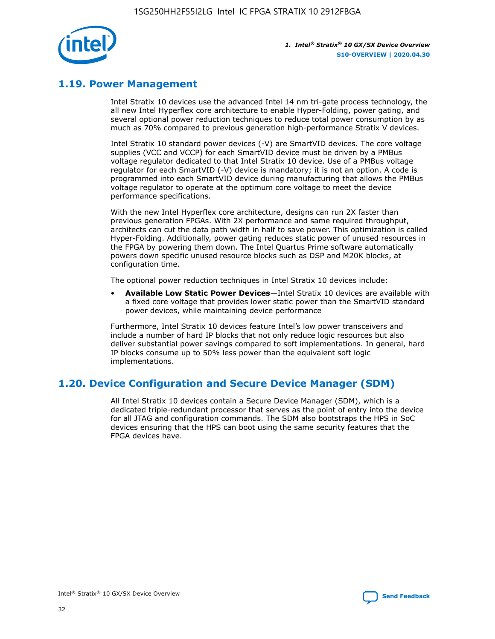

## **1.19. Power Management**

Intel Stratix 10 devices use the advanced Intel 14 nm tri-gate process technology, the all new Intel Hyperflex core architecture to enable Hyper-Folding, power gating, and several optional power reduction techniques to reduce total power consumption by as much as 70% compared to previous generation high-performance Stratix V devices.

Intel Stratix 10 standard power devices (-V) are SmartVID devices. The core voltage supplies (VCC and VCCP) for each SmartVID device must be driven by a PMBus voltage regulator dedicated to that Intel Stratix 10 device. Use of a PMBus voltage regulator for each SmartVID (-V) device is mandatory; it is not an option. A code is programmed into each SmartVID device during manufacturing that allows the PMBus voltage regulator to operate at the optimum core voltage to meet the device performance specifications.

With the new Intel Hyperflex core architecture, designs can run 2X faster than previous generation FPGAs. With 2X performance and same required throughput, architects can cut the data path width in half to save power. This optimization is called Hyper-Folding. Additionally, power gating reduces static power of unused resources in the FPGA by powering them down. The Intel Quartus Prime software automatically powers down specific unused resource blocks such as DSP and M20K blocks, at configuration time.

The optional power reduction techniques in Intel Stratix 10 devices include:

• **Available Low Static Power Devices**—Intel Stratix 10 devices are available with a fixed core voltage that provides lower static power than the SmartVID standard power devices, while maintaining device performance

Furthermore, Intel Stratix 10 devices feature Intel's low power transceivers and include a number of hard IP blocks that not only reduce logic resources but also deliver substantial power savings compared to soft implementations. In general, hard IP blocks consume up to 50% less power than the equivalent soft logic implementations.

## **1.20. Device Configuration and Secure Device Manager (SDM)**

All Intel Stratix 10 devices contain a Secure Device Manager (SDM), which is a dedicated triple-redundant processor that serves as the point of entry into the device for all JTAG and configuration commands. The SDM also bootstraps the HPS in SoC devices ensuring that the HPS can boot using the same security features that the FPGA devices have.

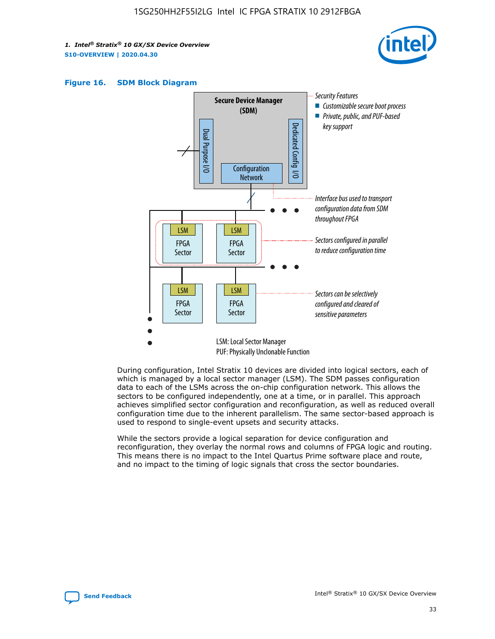





During configuration, Intel Stratix 10 devices are divided into logical sectors, each of which is managed by a local sector manager (LSM). The SDM passes configuration data to each of the LSMs across the on-chip configuration network. This allows the sectors to be configured independently, one at a time, or in parallel. This approach achieves simplified sector configuration and reconfiguration, as well as reduced overall configuration time due to the inherent parallelism. The same sector-based approach is used to respond to single-event upsets and security attacks.

While the sectors provide a logical separation for device configuration and reconfiguration, they overlay the normal rows and columns of FPGA logic and routing. This means there is no impact to the Intel Quartus Prime software place and route, and no impact to the timing of logic signals that cross the sector boundaries.

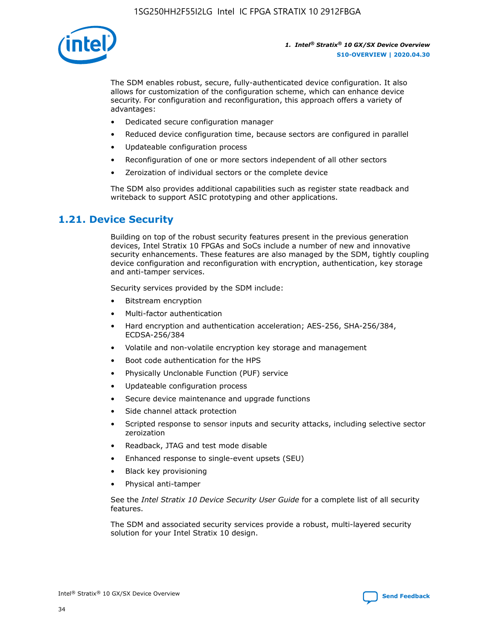

The SDM enables robust, secure, fully-authenticated device configuration. It also allows for customization of the configuration scheme, which can enhance device security. For configuration and reconfiguration, this approach offers a variety of advantages:

- Dedicated secure configuration manager
- Reduced device configuration time, because sectors are configured in parallel
- Updateable configuration process
- Reconfiguration of one or more sectors independent of all other sectors
- Zeroization of individual sectors or the complete device

The SDM also provides additional capabilities such as register state readback and writeback to support ASIC prototyping and other applications.

## **1.21. Device Security**

Building on top of the robust security features present in the previous generation devices, Intel Stratix 10 FPGAs and SoCs include a number of new and innovative security enhancements. These features are also managed by the SDM, tightly coupling device configuration and reconfiguration with encryption, authentication, key storage and anti-tamper services.

Security services provided by the SDM include:

- Bitstream encryption
- Multi-factor authentication
- Hard encryption and authentication acceleration; AES-256, SHA-256/384, ECDSA-256/384
- Volatile and non-volatile encryption key storage and management
- Boot code authentication for the HPS
- Physically Unclonable Function (PUF) service
- Updateable configuration process
- Secure device maintenance and upgrade functions
- Side channel attack protection
- Scripted response to sensor inputs and security attacks, including selective sector zeroization
- Readback, JTAG and test mode disable
- Enhanced response to single-event upsets (SEU)
- Black key provisioning
- Physical anti-tamper

See the *Intel Stratix 10 Device Security User Guide* for a complete list of all security features.

The SDM and associated security services provide a robust, multi-layered security solution for your Intel Stratix 10 design.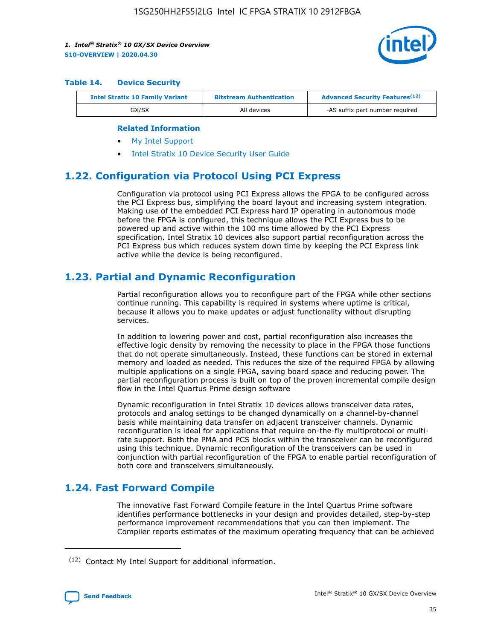

#### **Table 14. Device Security**

| <b>Intel Stratix 10 Family Variant</b> | <b>Bitstream Authentication</b> | <b>Advanced Security Features</b> <sup>(12)</sup> |
|----------------------------------------|---------------------------------|---------------------------------------------------|
| GX/SX                                  | All devices                     | -AS suffix part number required                   |

#### **Related Information**

- [My Intel Support](https://www.intel.com/content/www/us/en/programmable/my-intel/mal-home.html)
- [Intel Stratix 10 Device Security User Guide](https://www.intel.com/content/www/us/en/programmable/documentation/ndq1483601370898.html#wcd1483611014402)

## **1.22. Configuration via Protocol Using PCI Express**

Configuration via protocol using PCI Express allows the FPGA to be configured across the PCI Express bus, simplifying the board layout and increasing system integration. Making use of the embedded PCI Express hard IP operating in autonomous mode before the FPGA is configured, this technique allows the PCI Express bus to be powered up and active within the 100 ms time allowed by the PCI Express specification. Intel Stratix 10 devices also support partial reconfiguration across the PCI Express bus which reduces system down time by keeping the PCI Express link active while the device is being reconfigured.

## **1.23. Partial and Dynamic Reconfiguration**

Partial reconfiguration allows you to reconfigure part of the FPGA while other sections continue running. This capability is required in systems where uptime is critical, because it allows you to make updates or adjust functionality without disrupting services.

In addition to lowering power and cost, partial reconfiguration also increases the effective logic density by removing the necessity to place in the FPGA those functions that do not operate simultaneously. Instead, these functions can be stored in external memory and loaded as needed. This reduces the size of the required FPGA by allowing multiple applications on a single FPGA, saving board space and reducing power. The partial reconfiguration process is built on top of the proven incremental compile design flow in the Intel Quartus Prime design software

Dynamic reconfiguration in Intel Stratix 10 devices allows transceiver data rates, protocols and analog settings to be changed dynamically on a channel-by-channel basis while maintaining data transfer on adjacent transceiver channels. Dynamic reconfiguration is ideal for applications that require on-the-fly multiprotocol or multirate support. Both the PMA and PCS blocks within the transceiver can be reconfigured using this technique. Dynamic reconfiguration of the transceivers can be used in conjunction with partial reconfiguration of the FPGA to enable partial reconfiguration of both core and transceivers simultaneously.

## **1.24. Fast Forward Compile**

The innovative Fast Forward Compile feature in the Intel Quartus Prime software identifies performance bottlenecks in your design and provides detailed, step-by-step performance improvement recommendations that you can then implement. The Compiler reports estimates of the maximum operating frequency that can be achieved

<sup>(12)</sup> Contact My Intel Support for additional information.

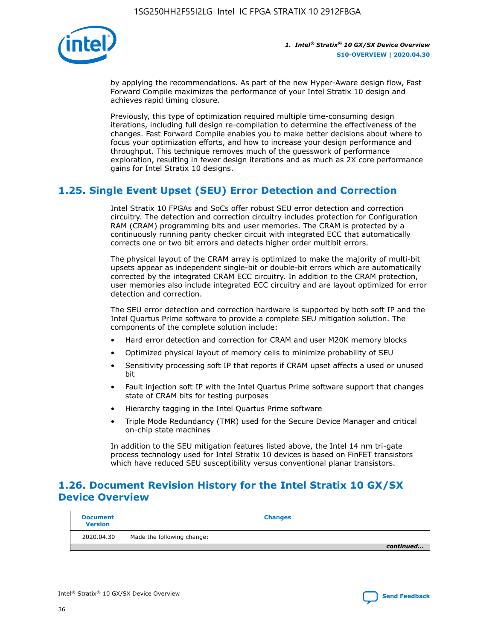

by applying the recommendations. As part of the new Hyper-Aware design flow, Fast Forward Compile maximizes the performance of your Intel Stratix 10 design and achieves rapid timing closure.

Previously, this type of optimization required multiple time-consuming design iterations, including full design re-compilation to determine the effectiveness of the changes. Fast Forward Compile enables you to make better decisions about where to focus your optimization efforts, and how to increase your design performance and throughput. This technique removes much of the guesswork of performance exploration, resulting in fewer design iterations and as much as 2X core performance gains for Intel Stratix 10 designs.

## **1.25. Single Event Upset (SEU) Error Detection and Correction**

Intel Stratix 10 FPGAs and SoCs offer robust SEU error detection and correction circuitry. The detection and correction circuitry includes protection for Configuration RAM (CRAM) programming bits and user memories. The CRAM is protected by a continuously running parity checker circuit with integrated ECC that automatically corrects one or two bit errors and detects higher order multibit errors.

The physical layout of the CRAM array is optimized to make the majority of multi-bit upsets appear as independent single-bit or double-bit errors which are automatically corrected by the integrated CRAM ECC circuitry. In addition to the CRAM protection, user memories also include integrated ECC circuitry and are layout optimized for error detection and correction.

The SEU error detection and correction hardware is supported by both soft IP and the Intel Quartus Prime software to provide a complete SEU mitigation solution. The components of the complete solution include:

- Hard error detection and correction for CRAM and user M20K memory blocks
- Optimized physical layout of memory cells to minimize probability of SEU
- Sensitivity processing soft IP that reports if CRAM upset affects a used or unused bit
- Fault injection soft IP with the Intel Quartus Prime software support that changes state of CRAM bits for testing purposes
- Hierarchy tagging in the Intel Quartus Prime software
- Triple Mode Redundancy (TMR) used for the Secure Device Manager and critical on-chip state machines

In addition to the SEU mitigation features listed above, the Intel 14 nm tri-gate process technology used for Intel Stratix 10 devices is based on FinFET transistors which have reduced SEU susceptibility versus conventional planar transistors.

## **1.26. Document Revision History for the Intel Stratix 10 GX/SX Device Overview**

| <b>Document</b><br><b>Version</b> | <b>Changes</b>             |
|-----------------------------------|----------------------------|
| 2020.04.30                        | Made the following change: |
|                                   | continued                  |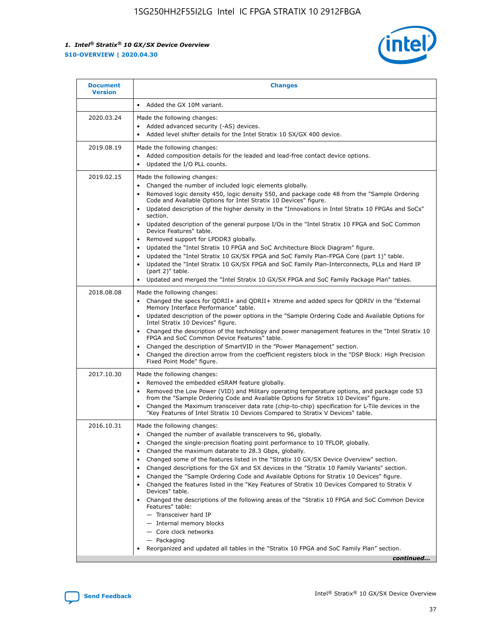

| <b>Document</b><br><b>Version</b> | <b>Changes</b>                                                                                                                                                                                                                                                                                                                                                                                                                                                                                                                                                                                                                                                                                                                                                                                                                                                                                                                                                                       |
|-----------------------------------|--------------------------------------------------------------------------------------------------------------------------------------------------------------------------------------------------------------------------------------------------------------------------------------------------------------------------------------------------------------------------------------------------------------------------------------------------------------------------------------------------------------------------------------------------------------------------------------------------------------------------------------------------------------------------------------------------------------------------------------------------------------------------------------------------------------------------------------------------------------------------------------------------------------------------------------------------------------------------------------|
|                                   | Added the GX 10M variant.                                                                                                                                                                                                                                                                                                                                                                                                                                                                                                                                                                                                                                                                                                                                                                                                                                                                                                                                                            |
| 2020.03.24                        | Made the following changes:<br>Added advanced security (-AS) devices.<br>Added level shifter details for the Intel Stratix 10 SX/GX 400 device.<br>$\bullet$                                                                                                                                                                                                                                                                                                                                                                                                                                                                                                                                                                                                                                                                                                                                                                                                                         |
| 2019.08.19                        | Made the following changes:<br>Added composition details for the leaded and lead-free contact device options.<br>Updated the I/O PLL counts.<br>$\bullet$                                                                                                                                                                                                                                                                                                                                                                                                                                                                                                                                                                                                                                                                                                                                                                                                                            |
| 2019.02.15                        | Made the following changes:<br>Changed the number of included logic elements globally.<br>Removed logic density 450, logic density 550, and package code 48 from the "Sample Ordering<br>$\bullet$<br>Code and Available Options for Intel Stratix 10 Devices" figure.<br>Updated description of the higher density in the "Innovations in Intel Stratix 10 FPGAs and SoCs"<br>section.<br>Updated description of the general purpose I/Os in the "Intel Stratix 10 FPGA and SoC Common<br>Device Features" table.<br>Removed support for LPDDR3 globally.<br>Updated the "Intel Stratix 10 FPGA and SoC Architecture Block Diagram" figure.<br>Updated the "Intel Stratix 10 GX/SX FPGA and SoC Family Plan-FPGA Core (part 1)" table.<br>Updated the "Intel Stratix 10 GX/SX FPGA and SoC Family Plan-Interconnects, PLLs and Hard IP<br>(part 2)" table.<br>Updated and merged the "Intel Stratix 10 GX/SX FPGA and SoC Family Package Plan" tables.                              |
| 2018.08.08                        | Made the following changes:<br>Changed the specs for QDRII+ and QDRII+ Xtreme and added specs for QDRIV in the "External<br>$\bullet$<br>Memory Interface Performance" table.<br>Updated description of the power options in the "Sample Ordering Code and Available Options for<br>Intel Stratix 10 Devices" figure.<br>Changed the description of the technology and power management features in the "Intel Stratix 10<br>FPGA and SoC Common Device Features" table.<br>Changed the description of SmartVID in the "Power Management" section.<br>Changed the direction arrow from the coefficient registers block in the "DSP Block: High Precision<br>Fixed Point Mode" figure.                                                                                                                                                                                                                                                                                                |
| 2017.10.30                        | Made the following changes:<br>Removed the embedded eSRAM feature globally.<br>$\bullet$<br>Removed the Low Power (VID) and Military operating temperature options, and package code 53<br>from the "Sample Ordering Code and Available Options for Stratix 10 Devices" figure.<br>Changed the Maximum transceiver data rate (chip-to-chip) specification for L-Tile devices in the<br>"Key Features of Intel Stratix 10 Devices Compared to Stratix V Devices" table.                                                                                                                                                                                                                                                                                                                                                                                                                                                                                                               |
| 2016.10.31                        | Made the following changes:<br>• Changed the number of available transceivers to 96, globally.<br>Changed the single-precision floating point performance to 10 TFLOP, globally.<br>Changed the maximum datarate to 28.3 Gbps, globally.<br>٠<br>Changed some of the features listed in the "Stratix 10 GX/SX Device Overview" section.<br>Changed descriptions for the GX and SX devices in the "Stratix 10 Family Variants" section.<br>٠<br>Changed the "Sample Ordering Code and Available Options for Stratix 10 Devices" figure.<br>Changed the features listed in the "Key Features of Stratix 10 Devices Compared to Stratix V<br>Devices" table.<br>Changed the descriptions of the following areas of the "Stratix 10 FPGA and SoC Common Device<br>Features" table:<br>- Transceiver hard IP<br>- Internal memory blocks<br>- Core clock networks<br>- Packaging<br>Reorganized and updated all tables in the "Stratix 10 FPGA and SoC Family Plan" section.<br>continued |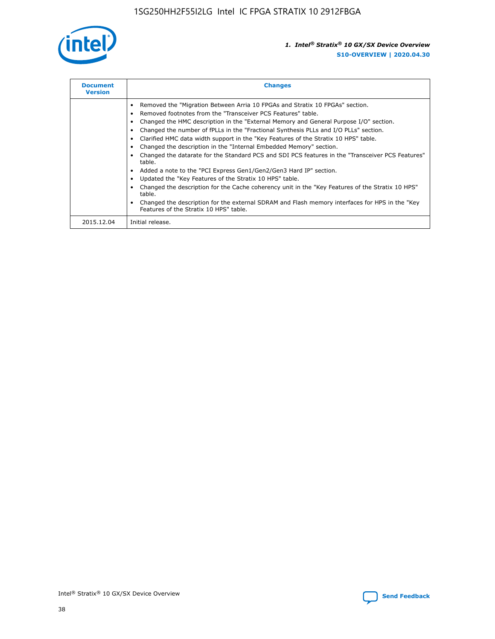

| <b>Document</b><br><b>Version</b> | <b>Changes</b>                                                                                                                                                                                                                                                                                                                                                                                                                                                                                                                                                                                                                                                                                                                                                                                                                                                                                                                                                                                     |
|-----------------------------------|----------------------------------------------------------------------------------------------------------------------------------------------------------------------------------------------------------------------------------------------------------------------------------------------------------------------------------------------------------------------------------------------------------------------------------------------------------------------------------------------------------------------------------------------------------------------------------------------------------------------------------------------------------------------------------------------------------------------------------------------------------------------------------------------------------------------------------------------------------------------------------------------------------------------------------------------------------------------------------------------------|
|                                   | Removed the "Migration Between Arria 10 FPGAs and Stratix 10 FPGAs" section.<br>Removed footnotes from the "Transceiver PCS Features" table.<br>Changed the HMC description in the "External Memory and General Purpose I/O" section.<br>Changed the number of fPLLs in the "Fractional Synthesis PLLs and I/O PLLs" section.<br>Clarified HMC data width support in the "Key Features of the Stratix 10 HPS" table.<br>Changed the description in the "Internal Embedded Memory" section.<br>Changed the datarate for the Standard PCS and SDI PCS features in the "Transceiver PCS Features"<br>table.<br>Added a note to the "PCI Express Gen1/Gen2/Gen3 Hard IP" section.<br>Updated the "Key Features of the Stratix 10 HPS" table.<br>Changed the description for the Cache coherency unit in the "Key Features of the Stratix 10 HPS"<br>table.<br>Changed the description for the external SDRAM and Flash memory interfaces for HPS in the "Key<br>Features of the Stratix 10 HPS" table. |
| 2015.12.04                        | Initial release.                                                                                                                                                                                                                                                                                                                                                                                                                                                                                                                                                                                                                                                                                                                                                                                                                                                                                                                                                                                   |